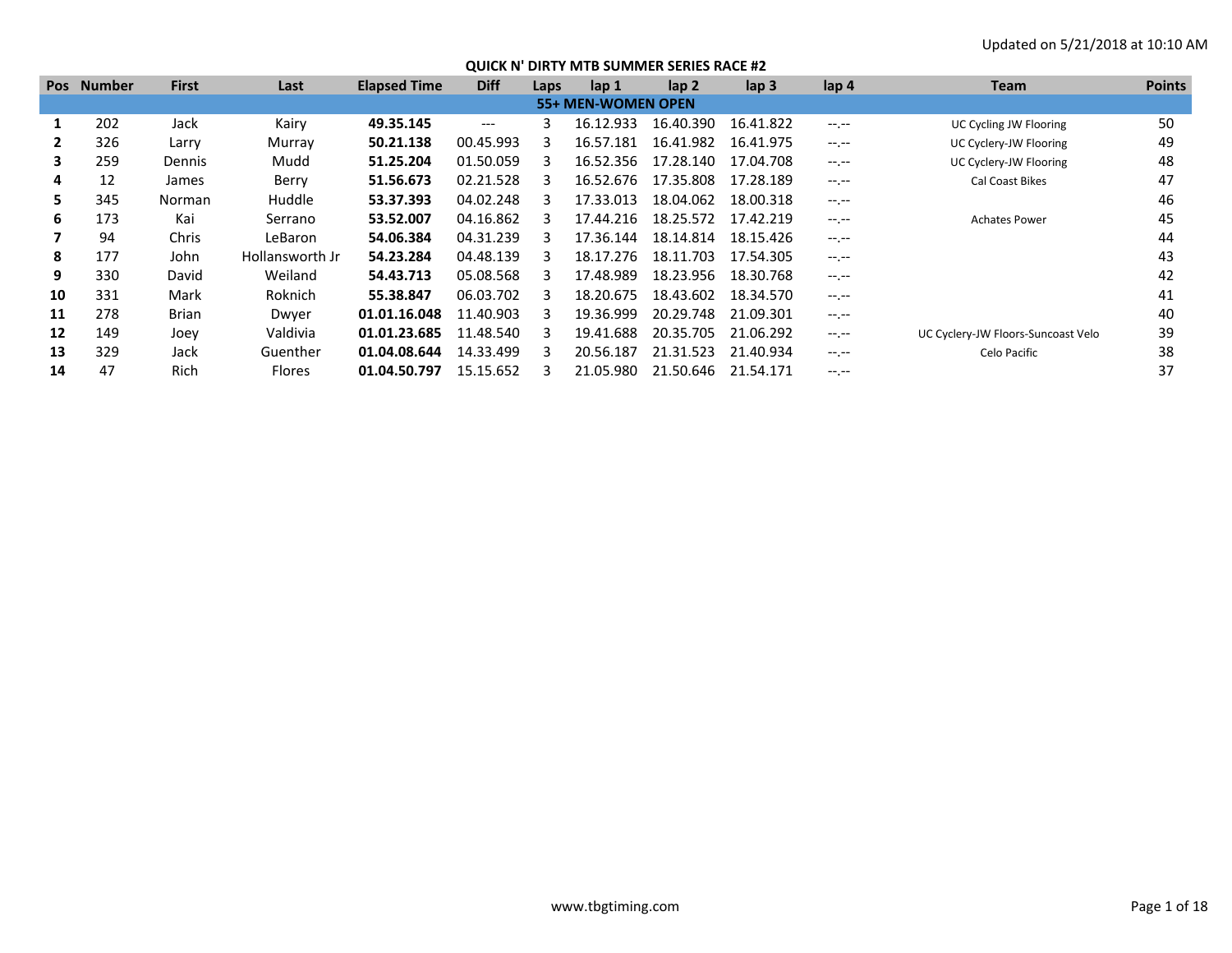| <b>Pos</b>        | <b>Number</b> | <b>First</b> | Last            | <b>Elapsed Time</b> | <b>Diff</b> | Laps | lap 1              | $\mathsf{lap} 2$ | $\mathsf{lap} 3$ | lap 4        | <b>Team</b>                        | <b>Points</b> |
|-------------------|---------------|--------------|-----------------|---------------------|-------------|------|--------------------|------------------|------------------|--------------|------------------------------------|---------------|
|                   |               |              |                 |                     |             |      | 55+ MEN-WOMEN OPEN |                  |                  |              |                                    |               |
|                   | 202           | Jack         | Kairy           | 49.35.145           | $---$       |      | 16.12.933          | 16.40.390        | 16.41.822        | $-1$ , $-1$  | UC Cycling JW Flooring             | 50            |
|                   | 326           | Larry        | Murrav          | 50.21.138           | 00.45.993   |      | 16.57.181          | 16.41.982        | 16.41.975        | $-1$ , $-1$  | UC Cyclery-JW Flooring             | 49            |
| 3                 | 259           | Dennis       | Mudd            | 51.25.204           | 01.50.059   |      | 16.52.356          | 17.28.140        | 17.04.708        | $-1.1 -$     | UC Cyclery-JW Flooring             | 48            |
| 4                 | 12            | James        | Berry           | 51.56.673           | 02.21.528   |      | 16.52.676          | 17.35.808        | 17.28.189        | $-1.1 -$     | Cal Coast Bikes                    | 47            |
|                   | 345           | Norman       | Huddle          | 53.37.393           | 04.02.248   |      | 17.33.013          | 18.04.062        | 18.00.318        | $-1$ , $-1$  |                                    | 46            |
| 6                 | 173           | Kai          | Serrano         | 53.52.007           | 04.16.862   |      | 17.44.216          | 18.25.572        | 17.42.219        | $-1$ , $-1$  | <b>Achates Power</b>               | 45            |
|                   | 94            | Chris        | LeBaron         | 54.06.384           | 04.31.239   |      | 17.36.144          | 18.14.814        | 18.15.426        | $-1.1 - 1.0$ |                                    | 44            |
| 8                 | 177           | John         | Hollansworth Jr | 54.23.284           | 04.48.139   |      | 18.17.276          | 18.11.703        | 17.54.305        | $-1$ , $-1$  |                                    | 43            |
| 9                 | 330           | David        | Weiland         | 54.43.713           | 05.08.568   |      | 17.48.989          | 18.23.956        | 18.30.768        | $-1$ , $-1$  |                                    | 42            |
| 10                | 331           | Mark         | Roknich         | 55.38.847           | 06.03.702   |      | 18.20.675          | 18.43.602        | 18.34.570        | $-1$ , $-1$  |                                    | 41            |
| 11                | 278           | Brian        | Dwyer           | 01.01.16.048        | 11.40.903   |      | 19.36.999          | 20.29.748        | 21.09.301        | $-1$ , $-1$  |                                    | 40            |
| $12 \overline{ }$ | 149           | Joey         | Valdivia        | 01.01.23.685        | 11.48.540   |      | 19.41.688          | 20.35.705        | 21.06.292        | $-1$ , $-1$  | UC Cyclery-JW Floors-Suncoast Velo | 39            |
| 13                | 329           | Jack         | Guenther        | 01.04.08.644        | 14.33.499   |      | 20.56.187          | 21.31.523        | 21.40.934        | $-1$ , $-1$  | Celo Pacific                       | 38            |
| 14                | 47            | Rich         | <b>Flores</b>   | 01.04.50.797        | 15.15.652   |      | 21.05.980          | 21.50.646        | 21.54.171        | -- --        |                                    | 37            |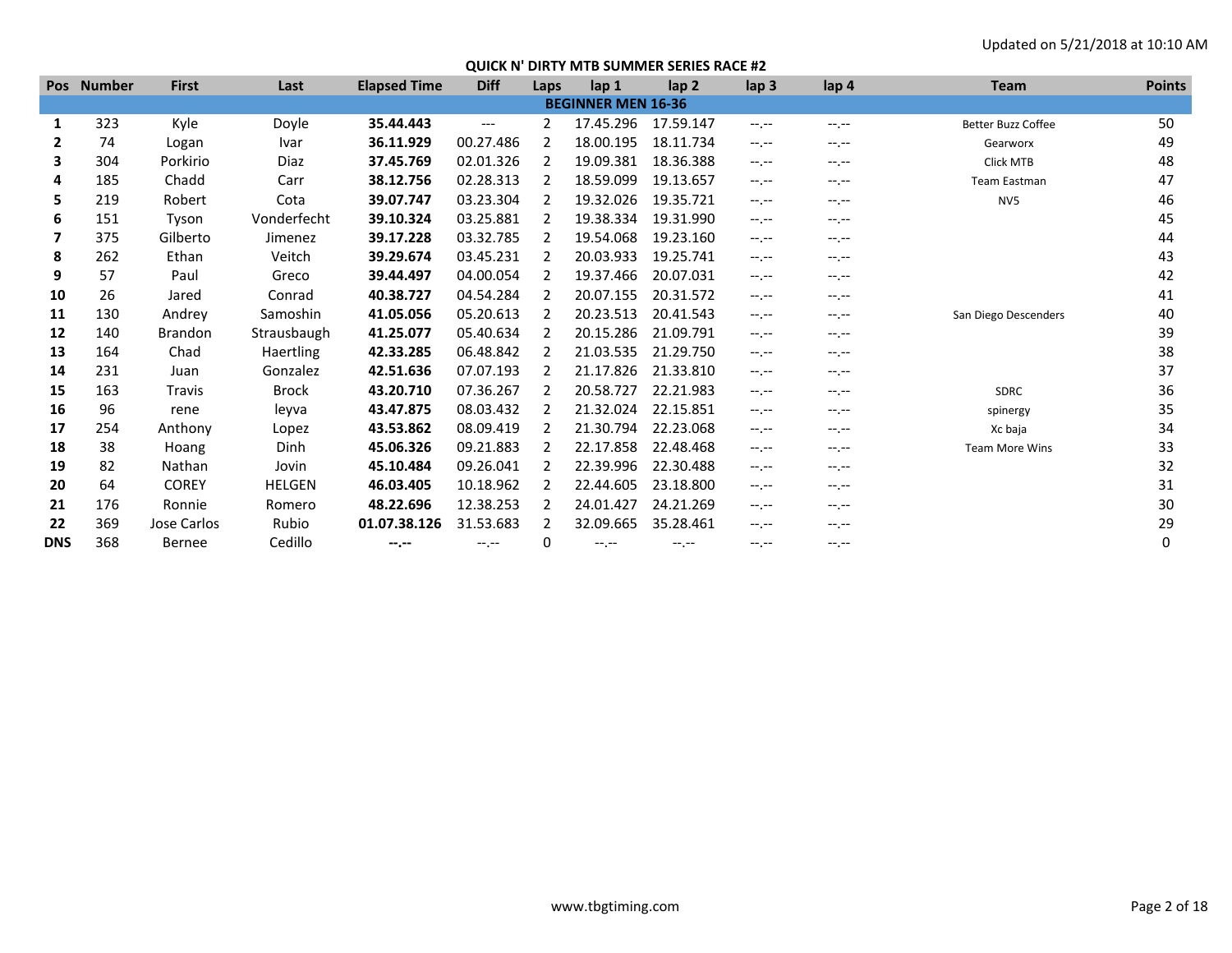|              | Pos Number | <b>First</b>   | Last             | <b>Elapsed Time</b> | <b>Diff</b>      | Laps          | lap 1                     | lap <sub>2</sub> | lap <sub>3</sub> | lap 4            | <b>Team</b>               | <b>Points</b> |
|--------------|------------|----------------|------------------|---------------------|------------------|---------------|---------------------------|------------------|------------------|------------------|---------------------------|---------------|
|              |            |                |                  |                     |                  |               | <b>BEGINNER MEN 16-36</b> |                  |                  |                  |                           |               |
| 1            | 323        | Kyle           | Doyle            | 35.44.443           | $---$            | 2             | 17.45.296                 | 17.59.147        | $-1 - 1 - 1 = 0$ | $-1.1$           | <b>Better Buzz Coffee</b> | 50            |
| $\mathbf{2}$ | 74         | Logan          | Ivar             | 36.11.929           | 00.27.486        | 2             | 18.00.195                 | 18.11.734        | $-1 - 1 - 1 = 0$ | $-1.1$           | Gearworx                  | 49            |
| 3            | 304        | Porkirio       | Diaz             | 37.45.769           | 02.01.326        | 2             | 19.09.381                 | 18.36.388        | $-1 - 1 - 1 = 0$ | $-1.1$           | <b>Click MTB</b>          | 48            |
| 4            | 185        | Chadd          | Carr             | 38.12.756           | 02.28.313        |               | 18.59.099                 | 19.13.657        | $-1.1$           | $-1.1 -$         | <b>Team Eastman</b>       | 47            |
| 5.           | 219        | Robert         | Cota             | 39.07.747           | 03.23.304        |               | 19.32.026                 | 19.35.721        | $-1. - -$        | $-1.1 -$         | NV5                       | 46            |
| 6            | 151        | Tyson          | Vonderfecht      | 39.10.324           | 03.25.881        |               | 19.38.334                 | 19.31.990        | $-1$ , $-1$      | $-1$ , $-1$      |                           | 45            |
| 7            | 375        | Gilberto       | Jimenez          | 39.17.228           | 03.32.785        | $\mathcal{P}$ | 19.54.068                 | 19.23.160        | $-1$ , $-1$      | $-1$ , $-1$      |                           | 44            |
| 8            | 262        | Ethan          | Veitch           | 39.29.674           | 03.45.231        |               | 20.03.933                 | 19.25.741        | $-1$ , $-1$      | $-1$ , $-1$      |                           | 43            |
| 9            | 57         | Paul           | Greco            | 39.44.497           | 04.00.054        | 2             | 19.37.466                 | 20.07.031        | $-1$ , $-1$      | $-1$ , $-1$      |                           | 42            |
| 10           | 26         | Jared          | Conrad           | 40.38.727           | 04.54.284        | 2             | 20.07.155                 | 20.31.572        | $-1$ .           | $-1$ , $-1$      |                           | 41            |
| 11           | 130        | Andrey         | Samoshin         | 41.05.056           | 05.20.613        | $\mathcal{L}$ | 20.23.513                 | 20.41.543        | $-1$ , $-1$      | $-1.1 -$         | San Diego Descenders      | 40            |
| 12           | 140        | <b>Brandon</b> | Strausbaugh      | 41.25.077           | 05.40.634        | 2             | 20.15.286                 | 21.09.791        | $-1$ , $-1$      | $-1 - 1 - 1 = 0$ |                           | 39            |
| 13           | 164        | Chad           | <b>Haertling</b> | 42.33.285           | 06.48.842        | $\mathcal{L}$ | 21.03.535                 | 21.29.750        | $-1$ , $-1$      | $-1$ , $-1$      |                           | 38            |
| 14           | 231        | Juan           | Gonzalez         | 42.51.636           | 07.07.193        | $\mathcal{L}$ | 21.17.826                 | 21.33.810        | $-1$ , $-1$      | $-1$ , $-1$      |                           | 37            |
| 15           | 163        | Travis         | <b>Brock</b>     | 43.20.710           | 07.36.267        |               | 20.58.727                 | 22.21.983        | $-1 - 1 - 1 = 0$ | $-1.1 -$         | <b>SDRC</b>               | 36            |
| 16           | 96         | rene           | leyva            | 43.47.875           | 08.03.432        |               | 21.32.024                 | 22.15.851        | $-1 - 1 - 1 = 0$ | $-1.1$           | spinergy                  | 35            |
| 17           | 254        | Anthony        | Lopez            | 43.53.862           | 08.09.419        | 2             | 21.30.794                 | 22.23.068        | $-1. - -$        | $-1.1$           | Xc baja                   | 34            |
| 18           | 38         | Hoang          | Dinh             | 45.06.326           | 09.21.883        |               | 22.17.858                 | 22.48.468        | $-1$ , $-1$      | $-1.1$           | <b>Team More Wins</b>     | 33            |
| 19           | 82         | Nathan         | Jovin            | 45.10.484           | 09.26.041        |               | 22.39.996                 | 22.30.488        | $-1$ , $-1$      | $-1.1$           |                           | 32            |
| 20           | 64         | <b>COREY</b>   | <b>HELGEN</b>    | 46.03.405           | 10.18.962        |               | 22.44.605                 | 23.18.800        | $-1$ , $-1$      | $-1.1 -$         |                           | 31            |
| 21           | 176        | Ronnie         | Romero           | 48.22.696           | 12.38.253        |               | 24.01.427                 | 24.21.269        | $-1 - 1 - 1 = 0$ | $-1 - 1 - 1 = 0$ |                           | 30            |
| 22           | 369        | Jose Carlos    | Rubio            | 01.07.38.126        | 31.53.683        |               | 32.09.665                 | 35.28.461        | $-1$ .           | $-1$ , $-1$      |                           | 29            |
| <b>DNS</b>   | 368        | <b>Bernee</b>  | Cedillo          | --.--               | $-1 - 1 - 1 = 0$ | 0             | $-1$ , $-1$               | $-1. - -$        | $-1. - -$        | $-1. - -$        |                           | 0             |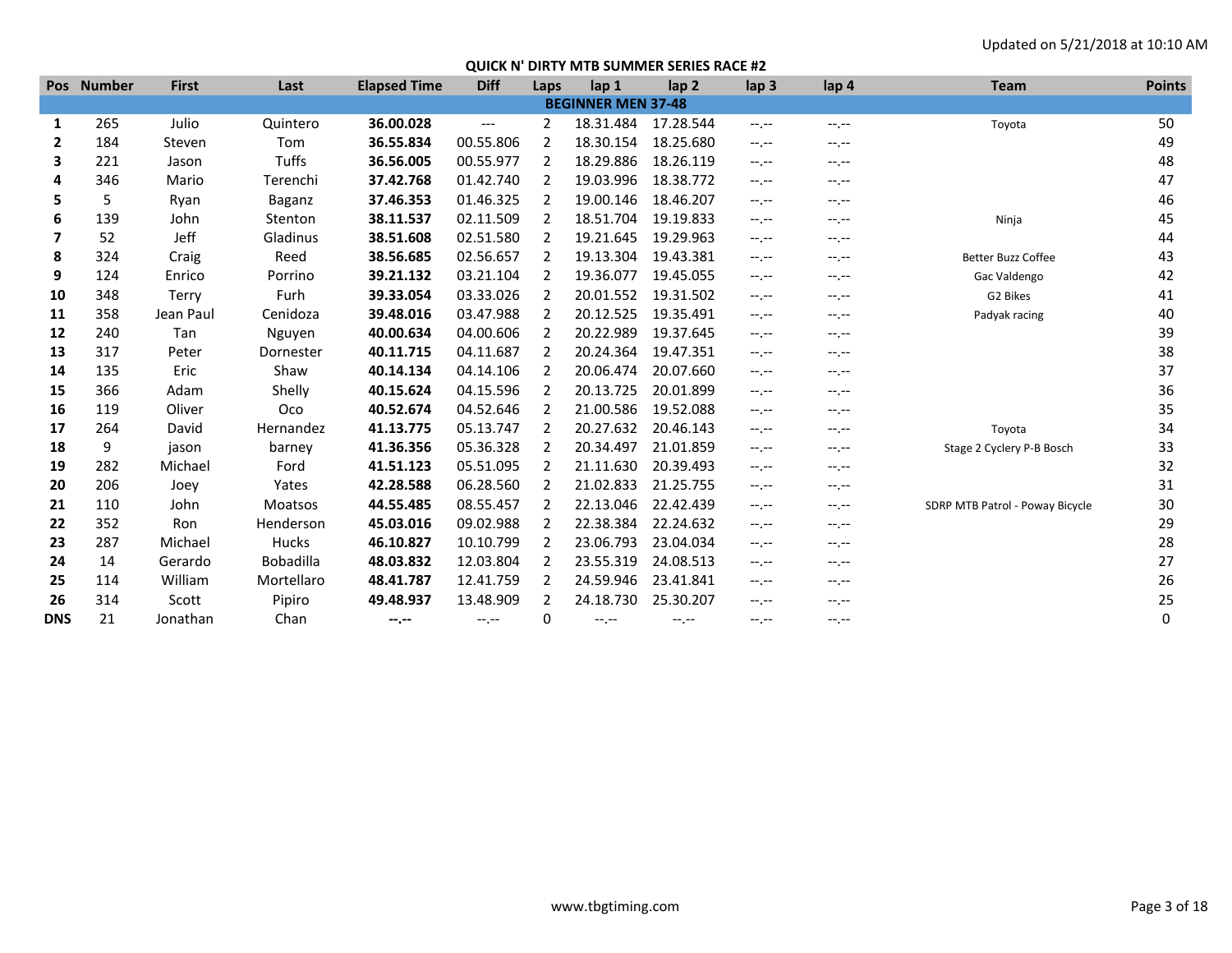|              | Pos Number | <b>First</b> | Last             | <b>Elapsed Time</b> | <b>Diff</b> | Laps           | lap 1                     | lap <sub>2</sub> | lap <sub>3</sub> | lap 4            | <b>Team</b>                     | <b>Points</b> |
|--------------|------------|--------------|------------------|---------------------|-------------|----------------|---------------------------|------------------|------------------|------------------|---------------------------------|---------------|
|              |            |              |                  |                     |             |                | <b>BEGINNER MEN 37-48</b> |                  |                  |                  |                                 |               |
| 1            | 265        | Julio        | Quintero         | 36.00.028           | $---$       | $\overline{2}$ | 18.31.484                 | 17.28.544        | $-1$ , $-1$      | $-1, -1$         | Toyota                          | 50            |
| $\mathbf{2}$ | 184        | Steven       | Tom              | 36.55.834           | 00.55.806   | 2              | 18.30.154                 | 18.25.680        | $-1 - 1 - 1 = 0$ | $-1. - -$        |                                 | 49            |
| 3            | 221        | Jason        | Tuffs            | 36.56.005           | 00.55.977   | $\overline{2}$ | 18.29.886                 | 18.26.119        | $-1 - 1 - 1 = 0$ | $-1.1 -$         |                                 | 48            |
| 4            | 346        | Mario        | Terenchi         | 37.42.768           | 01.42.740   |                | 19.03.996                 | 18.38.772        | $-1, -1$         | $-1.7 -$         |                                 | 47            |
| 5.           | 5          | Ryan         | Baganz           | 37.46.353           | 01.46.325   |                | 19.00.146                 | 18.46.207        | $-1 - 1 - 1 = 0$ | $-1, -1$         |                                 | 46            |
| 6            | 139        | John         | Stenton          | 38.11.537           | 02.11.509   | 2              | 18.51.704                 | 19.19.833        | $-1 - 1 - 1 = 0$ | $-1, -1$         | Ninja                           | 45            |
| 7            | 52         | Jeff         | Gladinus         | 38.51.608           | 02.51.580   | 2              | 19.21.645                 | 19.29.963        | $-1$ , $-1$      | $-1.7 -$         |                                 | 44            |
| 8            | 324        | Craig        | Reed             | 38.56.685           | 02.56.657   | 2              | 19.13.304                 | 19.43.381        | $-1$ , $-1$      | $-1.1 -$         | <b>Better Buzz Coffee</b>       | 43            |
| 9            | 124        | Enrico       | Porrino          | 39.21.132           | 03.21.104   | 2              | 19.36.077                 | 19.45.055        | $-1 - 1 - 1 = 0$ | $-1$             | Gac Valdengo                    | 42            |
| 10           | 348        | Terry        | Furh             | 39.33.054           | 03.33.026   | 2              | 20.01.552                 | 19.31.502        | $-1 - 1 - 1 = 0$ | $-1.7 -$         | G2 Bikes                        | 41            |
| 11           | 358        | Jean Paul    | Cenidoza         | 39.48.016           | 03.47.988   | 2              | 20.12.525                 | 19.35.491        | $-1 - 1 - 1 = 0$ | $-1, -1$         | Padyak racing                   | 40            |
| 12           | 240        | Tan          | Nguyen           | 40.00.634           | 04.00.606   | 2              | 20.22.989                 | 19.37.645        | $-1 - 1 - 1 = 0$ | $-1.7 -$         |                                 | 39            |
| 13           | 317        | Peter        | Dornester        | 40.11.715           | 04.11.687   | 2              | 20.24.364                 | 19.47.351        | $-1 - 1 - 1 = 0$ | $-1.7 -$         |                                 | 38            |
| 14           | 135        | Eric         | Shaw             | 40.14.134           | 04.14.106   | 2              | 20.06.474                 | 20.07.660        | $-1, -1$         | $-1.7 -$         |                                 | 37            |
| 15           | 366        | Adam         | Shelly           | 40.15.624           | 04.15.596   | 2              | 20.13.725                 | 20.01.899        | $-1$ , $-1$      | $-1$ , $-1$      |                                 | 36            |
| 16           | 119        | Oliver       | Oco              | 40.52.674           | 04.52.646   | 2              | 21.00.586                 | 19.52.088        | $-1 - 1 - 1 = 0$ | $-1. - -$        |                                 | 35            |
| 17           | 264        | David        | Hernandez        | 41.13.775           | 05.13.747   | 2              | 20.27.632                 | 20.46.143        | $-1, -1$         | --.--            | Toyota                          | 34            |
| 18           | 9          | jason        | barney           | 41.36.356           | 05.36.328   | 2              | 20.34.497                 | 21.01.859        | $-1 - 1 - 1 = 0$ | $-1, -1$         | Stage 2 Cyclery P-B Bosch       | 33            |
| 19           | 282        | Michael      | Ford             | 41.51.123           | 05.51.095   |                | 21.11.630                 | 20.39.493        | $-1, -1$         | --.--            |                                 | 32            |
| 20           | 206        | Joey         | Yates            | 42.28.588           | 06.28.560   | 2              | 21.02.833                 | 21.25.755        | $-1 - 1 - 1 = 0$ | --.--            |                                 | 31            |
| 21           | 110        | John         | <b>Moatsos</b>   | 44.55.485           | 08.55.457   | 2              | 22.13.046                 | 22.42.439        | $-1$ , $-1$      | $-1.7 -$         | SDRP MTB Patrol - Poway Bicycle | 30            |
| 22           | 352        | Ron          | Henderson        | 45.03.016           | 09.02.988   | 2              | 22.38.384                 | 22.24.632        | $-1, -1$         | $-1. - -$        |                                 | 29            |
| 23           | 287        | Michael      | Hucks            | 46.10.827           | 10.10.799   | 2              | 23.06.793                 | 23.04.034        | $-1$ , $-1$      | $-1 - 1 - 1 = 0$ |                                 | 28            |
| 24           | 14         | Gerardo      | <b>Bobadilla</b> | 48.03.832           | 12.03.804   | 2              | 23.55.319                 | 24.08.513        | $-1 - 1 - 1 = 0$ | $-1.7 -$         |                                 | 27            |
| 25           | 114        | William      | Mortellaro       | 48.41.787           | 12.41.759   | 2              | 24.59.946                 | 23.41.841        | $-1$ , $-1$      | $-1, -1$         |                                 | 26            |
| 26           | 314        | Scott        | Pipiro           | 49.48.937           | 13.48.909   |                | 24.18.730                 | 25.30.207        | --.--            | --.--            |                                 | 25            |
| <b>DNS</b>   | 21         | Jonathan     | Chan             | --.--               | $-1, -1$    | 0              | $-1$ , $-1$               | $-1. - -$        | $-1.1 -$         | $-1 - 1 - 1 = 0$ |                                 | 0             |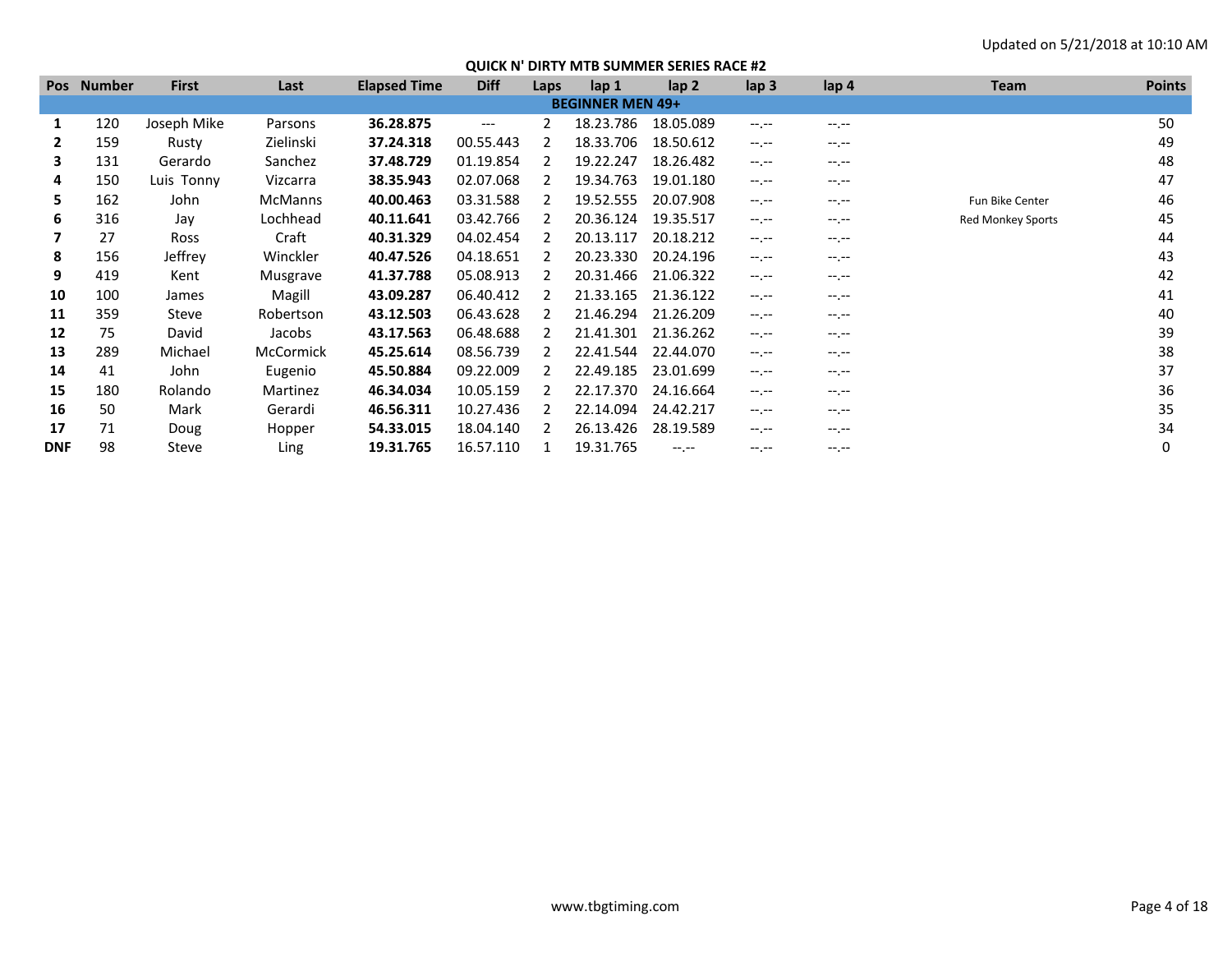| <b>Pos</b> | <b>Number</b> | <b>First</b> | Last             | <b>Elapsed Time</b> | <b>Diff</b>       | Laps | lap 1                   | $\mathsf{lap} 2$ | lap <sub>3</sub> | lap 4            | <b>Team</b>              | <b>Points</b> |
|------------|---------------|--------------|------------------|---------------------|-------------------|------|-------------------------|------------------|------------------|------------------|--------------------------|---------------|
|            |               |              |                  |                     |                   |      | <b>BEGINNER MEN 49+</b> |                  |                  |                  |                          |               |
| 1          | 120           | Joseph Mike  | Parsons          | 36.28.875           | $\qquad \qquad -$ | 2    | 18.23.786               | 18.05.089        | $-1 - 1 - 1 = 0$ | $-1$ , $-1$      |                          | 50            |
|            | 159           | Rusty        | Zielinski        | 37.24.318           | 00.55.443         |      | 18.33.706               | 18.50.612        | $-1 - 1 - 1 = 0$ | $-1 - 1 - 1 = 0$ |                          | 49            |
| 3          | 131           | Gerardo      | Sanchez          | 37.48.729           | 01.19.854         |      | 19.22.247               | 18.26.482        | $-1 - 1 - 1 = 0$ | $-1.1 -$         |                          | 48            |
| 4          | 150           | Luis Tonny   | Vizcarra         | 38.35.943           | 02.07.068         |      | 19.34.763               | 19.01.180        | $-1$ , $-1$      | $-1. - -$        |                          | 47            |
| 5          | 162           | John         | <b>McManns</b>   | 40.00.463           | 03.31.588         |      | 19.52.555               | 20.07.908        | $-1 - 1 - 1 = 0$ | $-1.1 -$         | Fun Bike Center          | 46            |
| 6          | 316           | Jav          | Lochhead         | 40.11.641           | 03.42.766         |      | 20.36.124               | 19.35.517        | $-1 - 1 - 1 = 0$ | $-1, -1$         | <b>Red Monkey Sports</b> | 45            |
|            | 27            | Ross         | Craft            | 40.31.329           | 04.02.454         |      | 20.13.117               | 20.18.212        | $-1 - 1 - 1 = 0$ | $-1.1 -$         |                          | 44            |
| 8          | 156           | Jeffrey      | Winckler         | 40.47.526           | 04.18.651         |      | 20.23.330               | 20.24.196        | $-1$ , $-1$      | $-1. - -$        |                          | 43            |
| 9          | 419           | Kent         | Musgrave         | 41.37.788           | 05.08.913         |      | 20.31.466               | 21.06.322        | $-1 - 1 - 1 = 0$ | $-1.1 -$         |                          | 42            |
| 10         | 100           | James        | Magill           | 43.09.287           | 06.40.412         |      | 21.33.165               | 21.36.122        | $-1 - 1 - 1 = 0$ | $-1.1 -$         |                          | 41            |
| 11         | 359           | Steve        | Robertson        | 43.12.503           | 06.43.628         |      | 21.46.294               | 21.26.209        | $-1 - 1 - 1 = 0$ | $-1$ , $-1$      |                          | 40            |
| 12         | 75            | David        | Jacobs           | 43.17.563           | 06.48.688         |      | 21.41.301               | 21.36.262        | $-1 - 1 - 1 = 0$ | $-1 - 1 - 1 = 0$ |                          | 39            |
| 13         | 289           | Michael      | <b>McCormick</b> | 45.25.614           | 08.56.739         |      | 22.41.544               | 22.44.070        | $-1 - 1 - 1 = 0$ | $-1.1 -$         |                          | 38            |
| 14         | 41            | John         | Eugenio          | 45.50.884           | 09.22.009         |      | 22.49.185               | 23.01.699        | $-1 - 1 - 1 = 0$ | $-1.1 -$         |                          | 37            |
| 15         | 180           | Rolando      | Martinez         | 46.34.034           | 10.05.159         |      | 22.17.370               | 24.16.664        | $-1$ , $-1$      | $-1. - -$        |                          | 36            |
| 16         | 50            | Mark         | Gerardi          | 46.56.311           | 10.27.436         |      | 22.14.094               | 24.42.217        | $-1 - 1 - 1 = 0$ | $-1 - 1 - 1 = 0$ |                          | 35            |
| 17         | 71            | Doug         | Hopper           | 54.33.015           | 18.04.140         |      | 26.13.426               | 28.19.589        | $-1 - 1 - 1 = 0$ | $-1.1$           |                          | 34            |
| <b>DNF</b> | 98            | Steve        | Ling             | 19.31.765           | 16.57.110         |      | 19.31.765               | $-1. -1$         | $-1$ , $-1$      | $-1. - -$        |                          | 0             |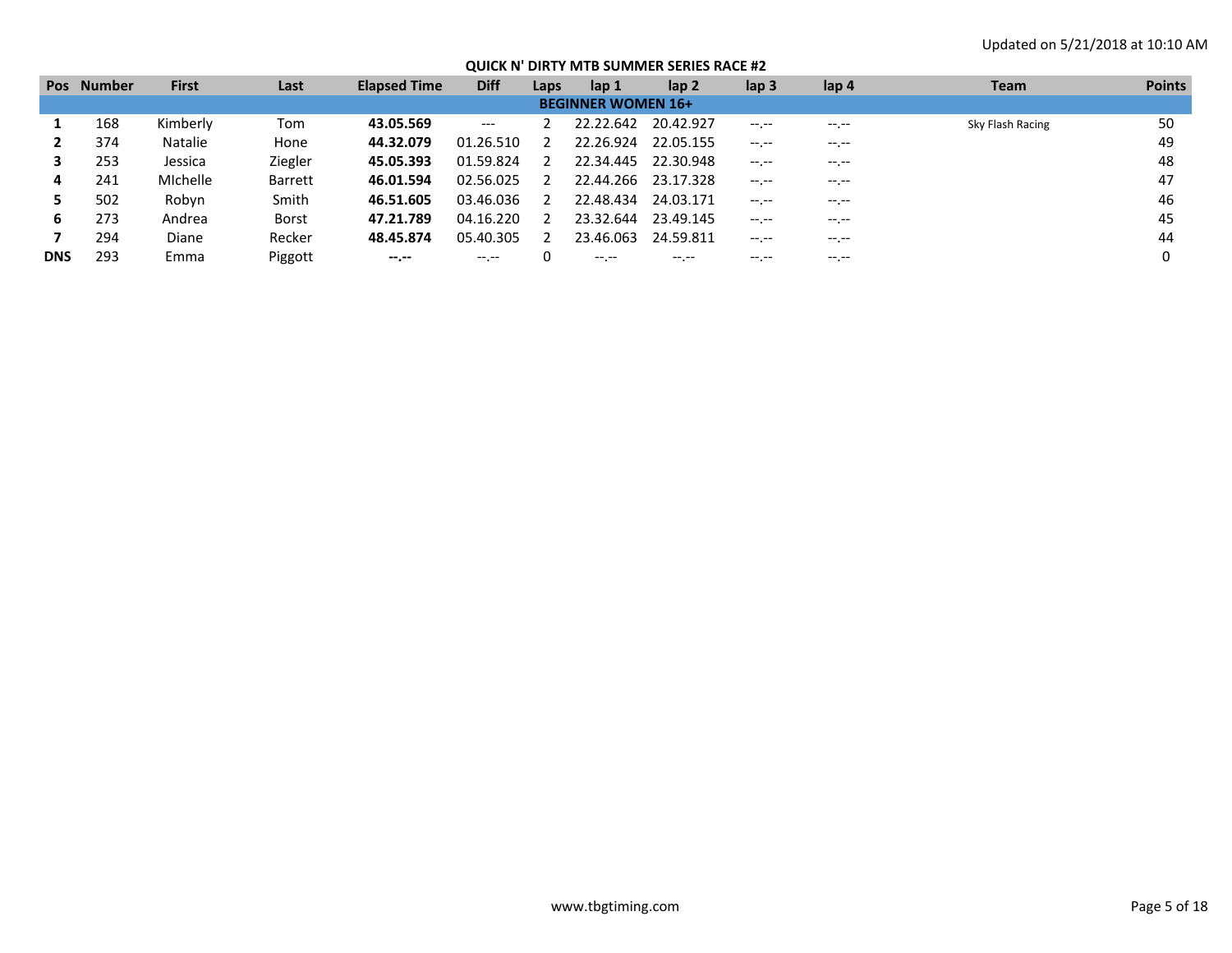|            | Pos Number | <b>First</b> | Last           | <b>Elapsed Time</b> | <b>Diff</b> | Laps | lap <sub>1</sub>          | lap 2     | lap <sub>3</sub> | lap 4                                                    | <b>Team</b>      | <b>Points</b> |
|------------|------------|--------------|----------------|---------------------|-------------|------|---------------------------|-----------|------------------|----------------------------------------------------------|------------------|---------------|
|            |            |              |                |                     |             |      | <b>BEGINNER WOMEN 16+</b> |           |                  |                                                          |                  |               |
|            | 168        | Kimberly     | Tom            | 43.05.569           | $---$       |      | 22.22.642                 | 20.42.927 | $-1. - -$        | $-1. - -$                                                | Sky Flash Racing | 50            |
|            | 374        | Natalie      | Hone           | 44.32.079           | 01.26.510   |      | 22.26.924                 | 22.05.155 |                  | $\hspace{1.5cm} \cdots \hspace{1.5cm} \cdots$<br>$\cdot$ |                  | 49            |
|            | 253        | Jessica      | Ziegler        | 45.05.393           | 01.59.824   |      | 22.34.445                 | 22.30.948 | $-1 - 1 - 1 = 0$ | $-1$ .                                                   |                  | 48            |
| 4          | 241        | Michelle     | <b>Barrett</b> | 46.01.594           | 02.56.025   |      | 22.44.266                 | 23.17.328 | $-1 - 1 - 1 = 0$ |                                                          |                  | 47            |
|            | 502        | Robyn        | Smith          | 46.51.605           | 03.46.036   |      | 22.48.434                 | 24.03.171 | $-1$ .           | $-1$ .                                                   |                  | 46            |
| 6          | 273        | Andrea       | <b>Borst</b>   | 47.21.789           | 04.16.220   |      | 23.32.644                 | 23.49.145 | $-1 - 1 - 1 = 0$ | $-1$ . $-1$                                              |                  | 45            |
|            | 294        | Diane        | Recker         | 48.45.874           | 05.40.305   |      | 23.46.063                 | 24.59.811 | $-1 - 1 - 1 = 0$ | $---$                                                    |                  | 44            |
| <b>DNS</b> | 293        | Emma         | Piggott        | $-1 - 1 - 1 = 0$    |             |      | $---$                     | -- --     |                  | $---$                                                    |                  |               |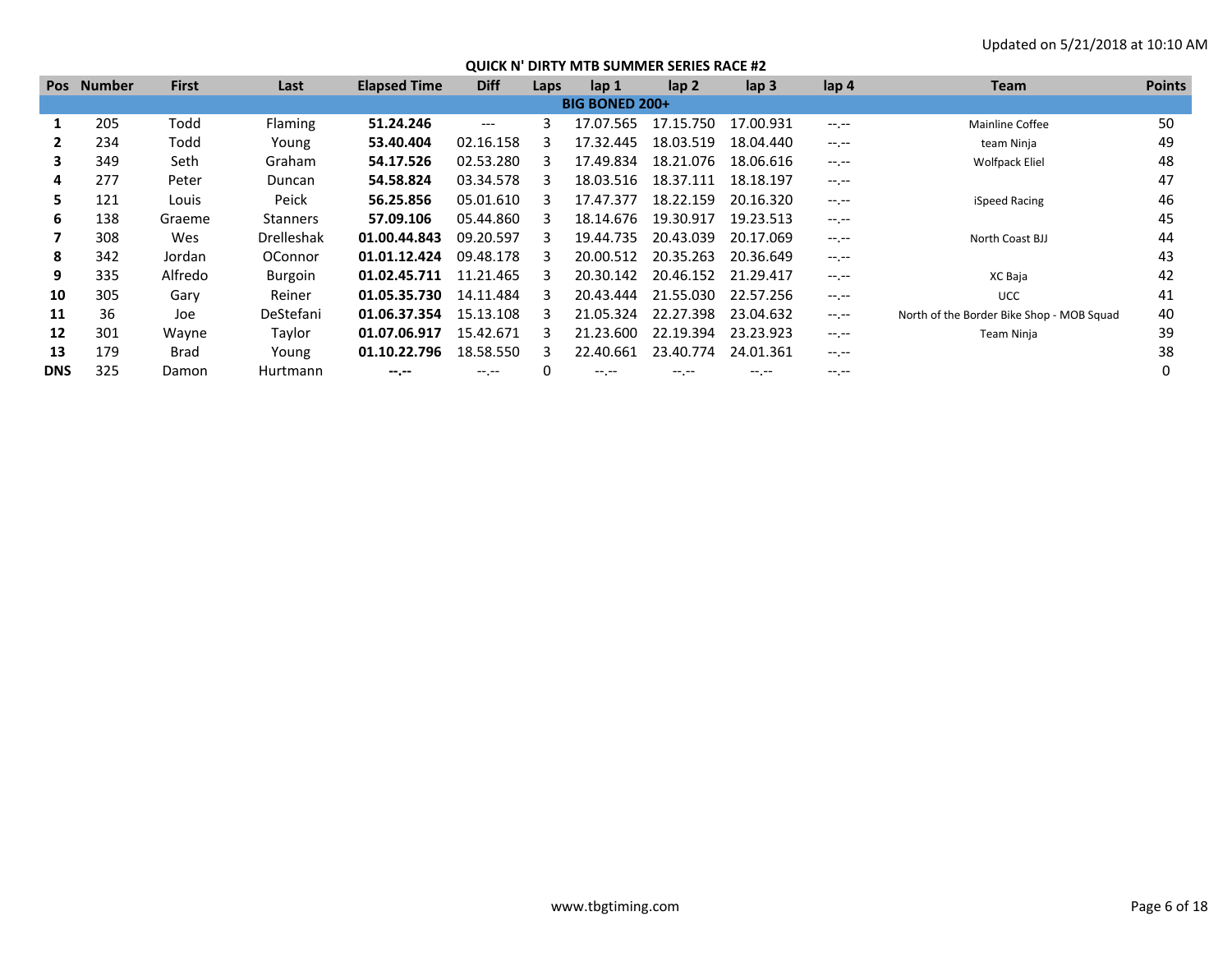| <b>Pos</b> | Number | <b>First</b> | Last              | <b>Elapsed Time</b> | <b>Diff</b> | Laps | lap 1                 | lap <sub>2</sub> | lap <sub>3</sub> | lap <sub>4</sub> | <b>Team</b>                               | <b>Points</b> |
|------------|--------|--------------|-------------------|---------------------|-------------|------|-----------------------|------------------|------------------|------------------|-------------------------------------------|---------------|
|            |        |              |                   |                     |             |      | <b>BIG BONED 200+</b> |                  |                  |                  |                                           |               |
|            | 205    | Todd         | <b>Flaming</b>    | 51.24.246           | $---$       | 3    | 17.07.565             | 17.15.750        | 17.00.931        | $-1$ , $-1$      | Mainline Coffee                           | 50            |
|            | 234    | Todd         | Young             | 53.40.404           | 02.16.158   |      | 17.32.445             | 18.03.519        | 18.04.440        | $-1 - 1 - 1 = 0$ | team Ninja                                | 49            |
| 3          | 349    | Seth         | Graham            | 54.17.526           | 02.53.280   |      | 17.49.834             | 18.21.076        | 18.06.616        | $-1$ , $-1$      | <b>Wolfpack Eliel</b>                     | 48            |
| 4          | 277    | Peter        | Duncan            | 54.58.824           | 03.34.578   |      | 18.03.516             | 18.37.111        | 18.18.197        | $-1$ , $-1$      |                                           | 47            |
| 5.         | 121    | Louis        | Peick             | 56.25.856           | 05.01.610   |      | 17.47.377             | 18.22.159        | 20.16.320        | $-1$ , $-1$      | iSpeed Racing                             | 46            |
| 6          | 138    | Graeme       | <b>Stanners</b>   | 57.09.106           | 05.44.860   |      | 18.14.676             | 19.30.917        | 19.23.513        | $-1$ , $-1$      |                                           | 45            |
|            | 308    | Wes          | <b>Drelleshak</b> | 01.00.44.843        | 09.20.597   |      | 19.44.735             | 20.43.039        | 20.17.069        | $-1$ , $-1$      | North Coast BJJ                           | 44            |
| 8          | 342    | Jordan       | OConnor           | 01.01.12.424        | 09.48.178   |      | 20.00.512             | 20.35.263        | 20.36.649        | $-1$ , $-1$      |                                           | 43            |
| 9          | 335    | Alfredo      | <b>Burgoin</b>    | 01.02.45.711        | 11.21.465   |      | 20.30.142             | 20.46.152        | 21.29.417        | $-1$ , $-1$      | XC Baja                                   | 42            |
| 10         | 305    | Gary         | Reiner            | 01.05.35.730        | 14.11.484   |      | 20.43.444             | 21.55.030        | 22.57.256        | $-1$ , $-1$      | <b>UCC</b>                                | 41            |
| 11         | 36     | Joe          | DeStefani         | 01.06.37.354        | 15.13.108   |      | 21.05.324             | 22.27.398        | 23.04.632        | $-1$ , $-1$      | North of the Border Bike Shop - MOB Squad | 40            |
| 12         | 301    | Wayne        | Taylor            | 01.07.06.917        | 15.42.671   |      | 21.23.600             | 22.19.394        | 23.23.923        | $-1$ , $-1$      | Team Ninja                                | 39            |
| 13         | 179    | Brad         | Young             | 01.10.22.796        | 18.58.550   |      | 22.40.661             | 23.40.774        | 24.01.361        | $-1$ , $-1$      |                                           | 38            |
| <b>DNS</b> | 325    | Damon        | Hurtmann          | --.--               |             |      | -- --                 |                  | $---$            |                  |                                           |               |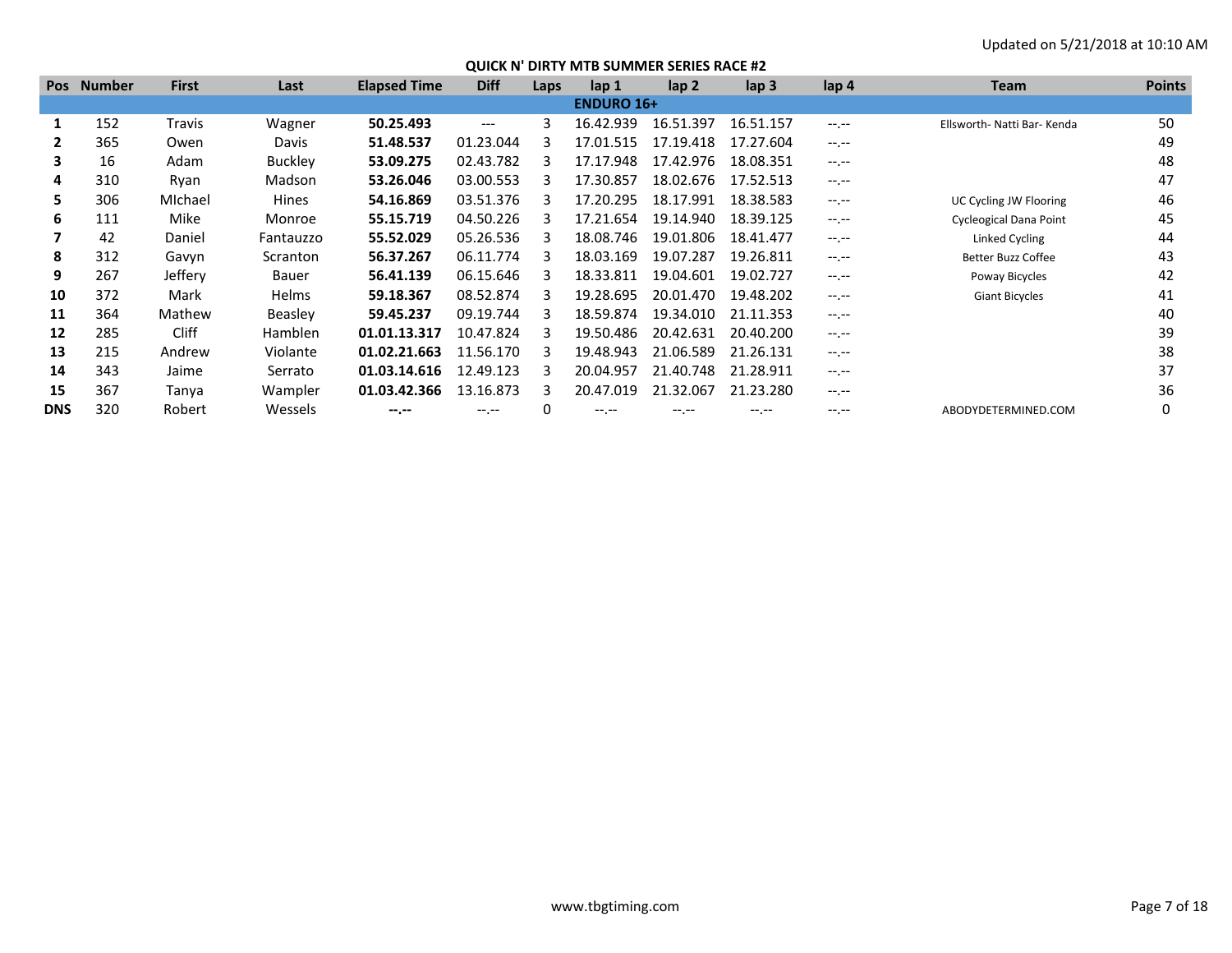| <b>Pos</b> | <b>Number</b> | <b>First</b> | Last           | <b>Elapsed Time</b> | <b>Diff</b> | Laps | lap <sub>1</sub>  | lap <sub>2</sub> | lap <sub>3</sub> | lap 4       | <b>Team</b>                   | <b>Points</b> |
|------------|---------------|--------------|----------------|---------------------|-------------|------|-------------------|------------------|------------------|-------------|-------------------------------|---------------|
|            |               |              |                |                     |             |      | <b>ENDURO 16+</b> |                  |                  |             |                               |               |
|            | 152           | Travis       | Wagner         | 50.25.493           | $---$       | 3    | 16.42.939         | 16.51.397        | 16.51.157        | $-1$ , $-1$ | Ellsworth- Natti Bar- Kenda   | 50            |
|            | 365           | Owen         | Davis          | 51.48.537           | 01.23.044   |      | 17.01.515         | 17.19.418        | 17.27.604        | $-1$ , $-1$ |                               | 49            |
| 3          | 16            | Adam         | <b>Buckley</b> | 53.09.275           | 02.43.782   |      | 17.17.948         | 17.42.976        | 18.08.351        | $-1$ , $-1$ |                               | 48            |
| 4          | 310           | Ryan         | Madson         | 53.26.046           | 03.00.553   |      | 17.30.857         | 18.02.676        | 17.52.513        | $-1$ , $-1$ |                               | 47            |
| 5.         | 306           | Michael      | Hines          | 54.16.869           | 03.51.376   |      | 17.20.295         | 18.17.991        | 18.38.583        | $-1$ , $-1$ | UC Cycling JW Flooring        | 46            |
| 6          | 111           | Mike         | Monroe         | 55.15.719           | 04.50.226   |      | 17.21.654         | 19.14.940        | 18.39.125        | $-1$ , $-1$ | <b>Cycleogical Dana Point</b> | 45            |
|            | 42            | Daniel       | Fantauzzo      | 55.52.029           | 05.26.536   |      | 18.08.746         | 19.01.806        | 18.41.477        | $-1$ , $-1$ | Linked Cycling                | 44            |
| 8          | 312           | Gavyn        | Scranton       | 56.37.267           | 06.11.774   |      | 18.03.169         | 19.07.287        | 19.26.811        | $-1$ , $-1$ | <b>Better Buzz Coffee</b>     | 43            |
| 9          | 267           | Jeffery      | Bauer          | 56.41.139           | 06.15.646   |      | 18.33.811         | 19.04.601        | 19.02.727        | $-1$ , $-1$ | Poway Bicycles                | 42            |
| 10         | 372           | Mark         | Helms          | 59.18.367           | 08.52.874   | з    | 19.28.695         | 20.01.470        | 19.48.202        | $-1$ , $-1$ | <b>Giant Bicycles</b>         | 41            |
| 11         | 364           | Mathew       | Beasley        | 59.45.237           | 09.19.744   | з    | 18.59.874         | 19.34.010        | 21.11.353        | $-1$ , $-1$ |                               | 40            |
| 12         | 285           | <b>Cliff</b> | <b>Hamblen</b> | 01.01.13.317        | 10.47.824   | з    | 19.50.486         | 20.42.631        | 20.40.200        | $-1$ , $-1$ |                               | 39            |
| 13         | 215           | Andrew       | Violante       | 01.02.21.663        | 11.56.170   | R    | 19.48.943         | 21.06.589        | 21.26.131        | $-1.1$      |                               | 38            |
| 14         | 343           | Jaime        | Serrato        | 01.03.14.616        | 12.49.123   |      | 20.04.957         | 21.40.748        | 21.28.911        | $-1$ , $-1$ |                               | 37            |
| 15         | 367           | Tanya        | Wampler        | 01.03.42.366        | 13.16.873   | 3    | 20.47.019         | 21.32.067        | 21.23.280        | $-1$ , $-1$ |                               | 36            |
| <b>DNS</b> | 320           | Robert       | Wessels        | $-1$                | $-1$ .      |      | $-1$ .            | $-1. -1$         | $-1.1 -$         | $-1.1$      | ABODYDETERMINED.COM           | 0             |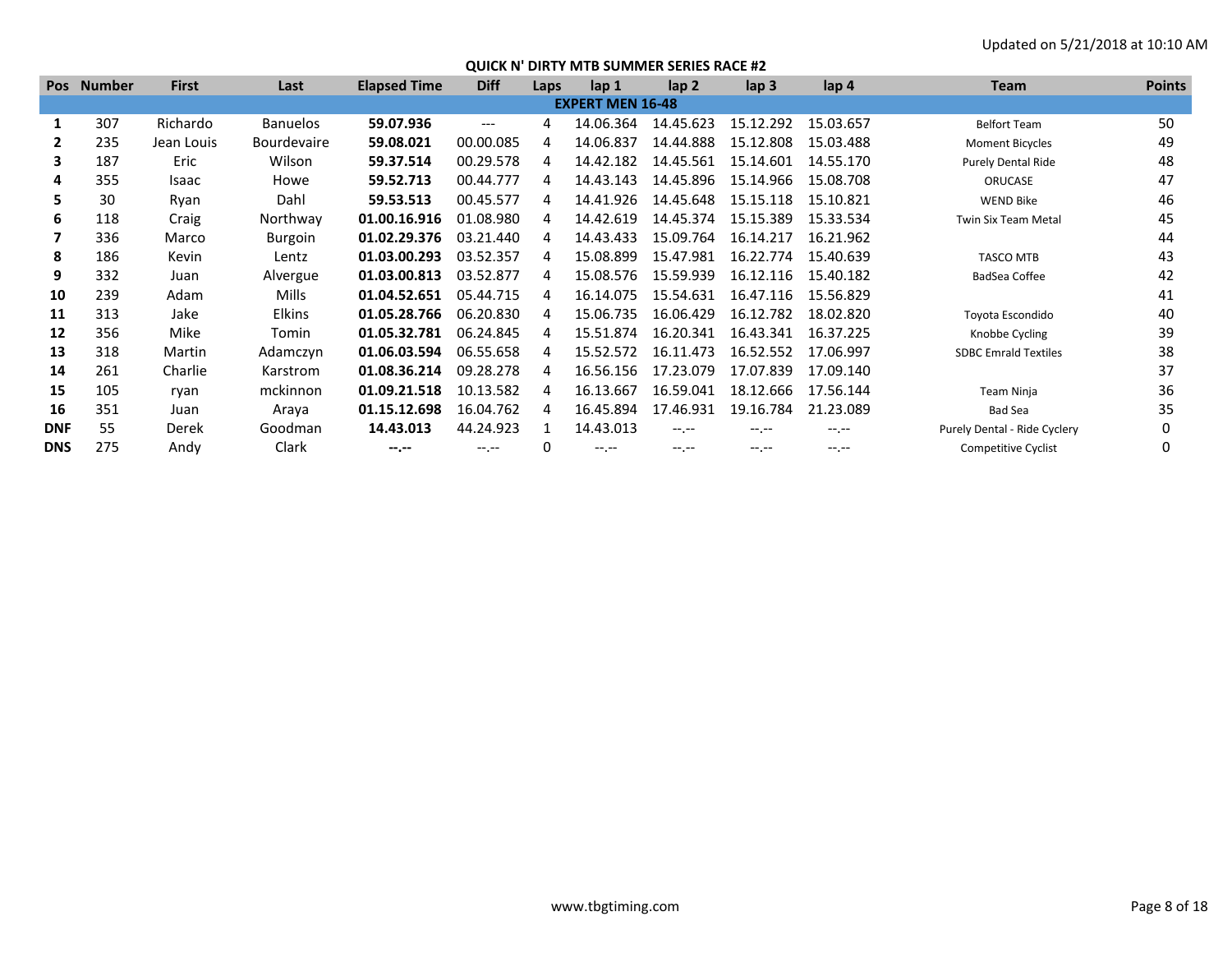| <b>Pos</b> | Number | <b>First</b> | Last               | <b>Elapsed Time</b> | <b>Diff</b> | Laps | lap 1                   | $\mathsf{lap} 2$ | lap 3       | lap 4       | <b>Team</b>                  | <b>Points</b> |
|------------|--------|--------------|--------------------|---------------------|-------------|------|-------------------------|------------------|-------------|-------------|------------------------------|---------------|
|            |        |              |                    |                     |             |      | <b>EXPERT MEN 16-48</b> |                  |             |             |                              |               |
| 1          | 307    | Richardo     | <b>Banuelos</b>    | 59.07.936           | $---$       | 4    | 14.06.364               | 14.45.623        | 15.12.292   | 15.03.657   | <b>Belfort Team</b>          | 50            |
|            | 235    | Jean Louis   | <b>Bourdevaire</b> | 59.08.021           | 00.00.085   | 4    | 14.06.837               | 14.44.888        | 15.12.808   | 15.03.488   | <b>Moment Bicycles</b>       | 49            |
| 3          | 187    | Eric         | Wilson             | 59.37.514           | 00.29.578   | 4    | 14.42.182               | 14.45.561        | 15.14.601   | 14.55.170   | <b>Purely Dental Ride</b>    | 48            |
| 4          | 355    | Isaac        | Howe               | 59.52.713           | 00.44.777   |      | 14.43.143               | 14.45.896        | 15.14.966   | 15.08.708   | ORUCASE                      | 47            |
| 5.         | 30     | Ryan         | Dahl               | 59.53.513           | 00.45.577   |      | 14.41.926               | 14.45.648        | 15.15.118   | 15.10.821   | <b>WEND Bike</b>             | 46            |
| 6          | 118    | Craig        | Northway           | 01.00.16.916        | 01.08.980   |      | 14.42.619               | 14.45.374        | 15.15.389   | 15.33.534   | <b>Twin Six Team Metal</b>   | 45            |
|            | 336    | Marco        | Burgoin            | 01.02.29.376        | 03.21.440   | 4    | 14.43.433               | 15.09.764        | 16.14.217   | 16.21.962   |                              | 44            |
| 8          | 186    | Kevin        | Lentz              | 01.03.00.293        | 03.52.357   | 4    | 15.08.899               | 15.47.981        | 16.22.774   | 15.40.639   | <b>TASCO MTB</b>             | 43            |
| 9          | 332    | Juan         | Alvergue           | 01.03.00.813        | 03.52.877   | 4    | 15.08.576               | 15.59.939        | 16.12.116   | 15.40.182   | BadSea Coffee                | 42            |
| 10         | 239    | Adam         | Mills              | 01.04.52.651        | 05.44.715   | 4    | 16.14.075               | 15.54.631        | 16.47.116   | 15.56.829   |                              | 41            |
| 11         | 313    | Jake         | <b>Elkins</b>      | 01.05.28.766        | 06.20.830   |      | 15.06.735               | 16.06.429        | 16.12.782   | 18.02.820   | Toyota Escondido             | 40            |
| 12         | 356    | Mike         | Tomin              | 01.05.32.781        | 06.24.845   |      | 15.51.874               | 16.20.341        | 16.43.341   | 16.37.225   | Knobbe Cycling               | 39            |
| 13         | 318    | Martin       | Adamczyn           | 01.06.03.594        | 06.55.658   |      | 15.52.572               | 16.11.473        | 16.52.552   | 17.06.997   | <b>SDBC Emrald Textiles</b>  | 38            |
| 14         | 261    | Charlie      | Karstrom           | 01.08.36.214        | 09.28.278   | Δ    | 16.56.156               | 17.23.079        | 17.07.839   | 17.09.140   |                              | 37            |
| 15         | 105    | ryan         | mckinnon           | 01.09.21.518        | 10.13.582   | 4    | 16.13.667               | 16.59.041        | 18.12.666   | 17.56.144   | Team Ninja                   | 36            |
| 16         | 351    | Juan         | Araya              | 01.15.12.698        | 16.04.762   | 4    | 16.45.894               | 17.46.931        | 19.16.784   | 21.23.089   | <b>Bad Sea</b>               | 35            |
| <b>DNF</b> | 55     | Derek        | Goodman            | 14.43.013           | 44.24.923   |      | 14.43.013               | $-1 - 1 - 1 = 0$ | $-1. - -$   | $-1.1 -$    | Purely Dental - Ride Cyclery |               |
| <b>DNS</b> | 275    | Andy         | Clark              | $- - - - -$         | $-1$ , $-1$ |      | $-1. -1$                | $-1$ , $-1$      | $-1$ , $-1$ | $-1$ , $-1$ | <b>Competitive Cyclist</b>   |               |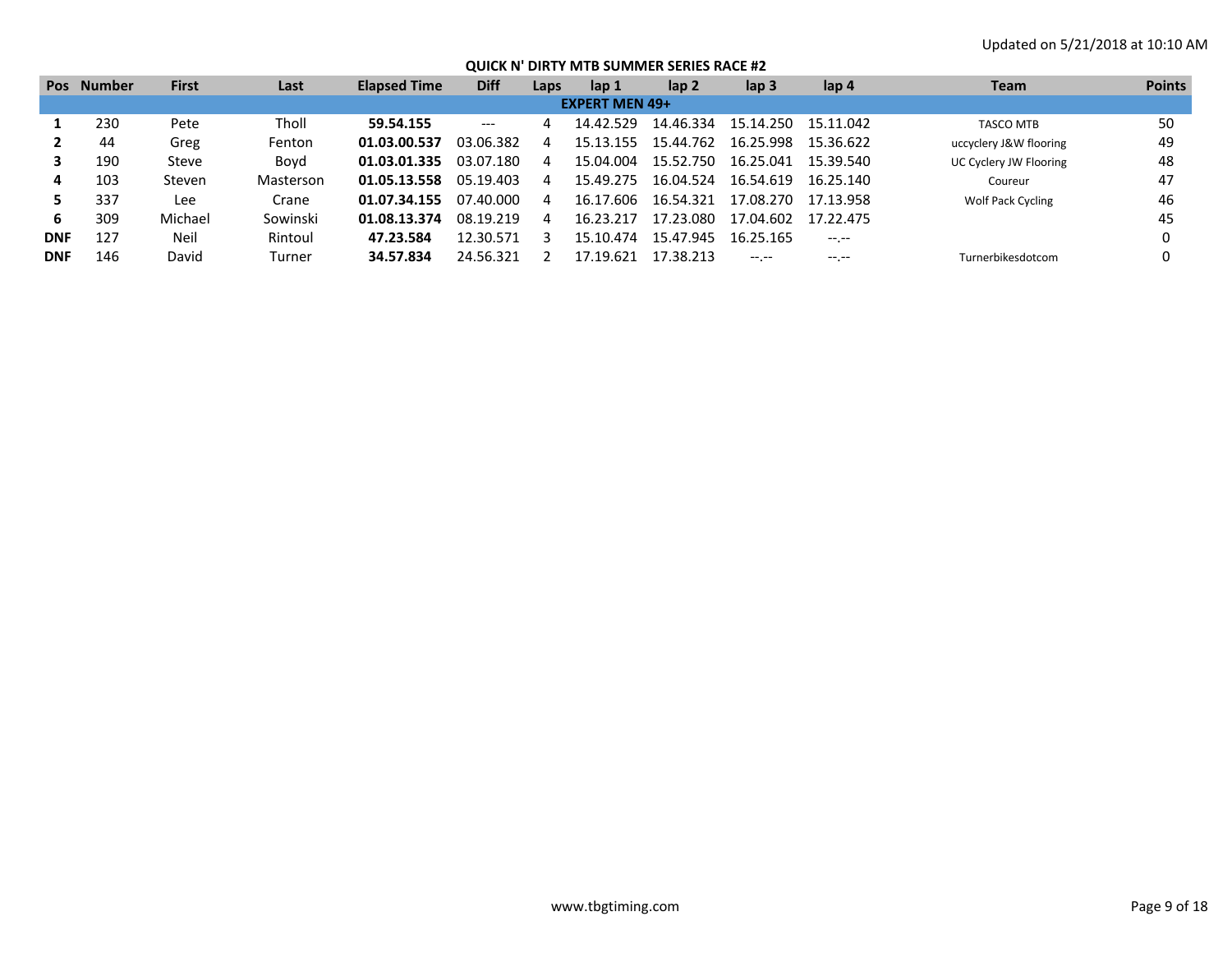| <b>Pos</b> | Number | <b>First</b> | Last      | <b>Elapsed Time</b> | <b>Diff</b> | Laps | lap 1                 | lap 2     | lap <sub>3</sub> | lap 4            | <b>Team</b>              | <b>Points</b> |
|------------|--------|--------------|-----------|---------------------|-------------|------|-----------------------|-----------|------------------|------------------|--------------------------|---------------|
|            |        |              |           |                     |             |      | <b>EXPERT MEN 49+</b> |           |                  |                  |                          |               |
|            | 230    | Pete         | Tholl     | 59.54.155           | $---$       |      | 14.42.529             | 14.46.334 | 15.14.250        | 15.11.042        | <b>TASCO MTB</b>         | 50            |
|            | 44     | Greg         | Fenton    | 01.03.00.537        | 03.06.382   |      | 15.13.155             | 15.44.762 | 16.25.998        | 15.36.622        | uccyclery J&W flooring   | 49            |
|            | 190    | Steve        | Boyd      | 01.03.01.335        | 03.07.180   |      | 15.04.004             | 15.52.750 | 16.25.041        | 15.39.540        | UC Cyclery JW Flooring   | 48            |
|            | 103    | Steven       | Masterson | 01.05.13.558        | 05.19.403   | Δ    | 15.49.275             | 16.04.524 | 16.54.619        | 16.25.140        | Coureur                  | 47            |
|            | 337    | Lee          | Crane     | 01.07.34.155        | 07.40.000   |      | 16.17.606             | 16.54.321 | 17.08.270        | 17.13.958        | <b>Wolf Pack Cycling</b> | 46            |
| 6.         | 309    | Michael      | Sowinski  | 01.08.13.374        | 08.19.219   | Δ    | 16.23.217             | 17.23.080 | 17.04.602        | 17.22.475        |                          | 45            |
| <b>DNF</b> | 127    | Neil         | Rintoul   | 47.23.584           | 12.30.571   |      | 15.10.474             | 15.47.945 | 16.25.165        | $-1 - 1 - 1 = 0$ |                          |               |
| <b>DNF</b> | 146    | David        | Turner    | 34.57.834           | 24.56.321   |      | 17.19.621             | 17.38.213 |                  | $--, --$         | Turnerbikesdotcom        |               |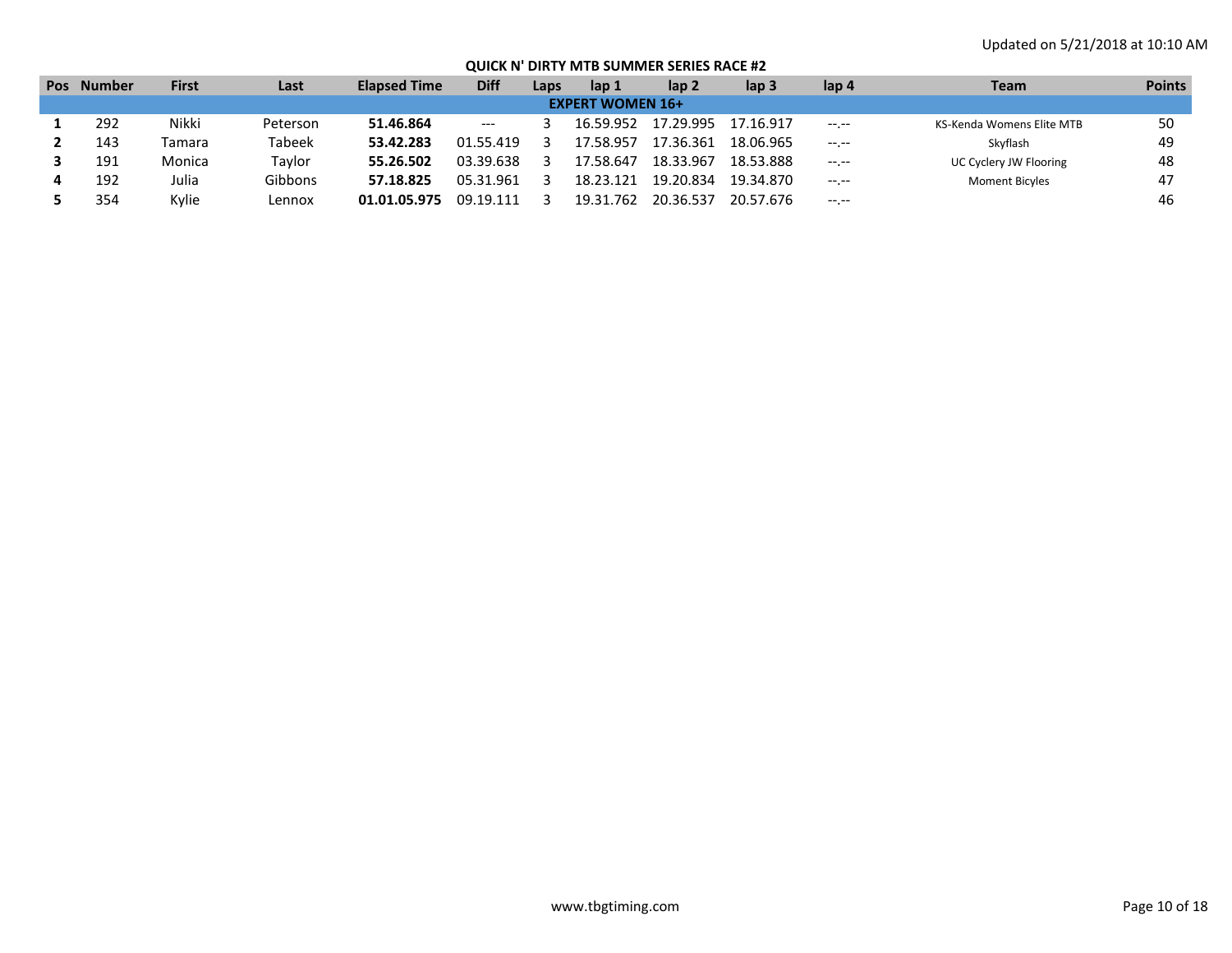| <b>Pos</b> | <b>Number</b> | <b>First</b> | Last     | <b>Elapsed Time</b> | <b>Diff</b> | Laps | lap 1                   | lap 2     | lap 3     | lap 4            | Team                      | <b>Points</b> |
|------------|---------------|--------------|----------|---------------------|-------------|------|-------------------------|-----------|-----------|------------------|---------------------------|---------------|
|            |               |              |          |                     |             |      | <b>EXPERT WOMEN 16+</b> |           |           |                  |                           |               |
|            | 292           | Nikki        | Peterson | 51.46.864           | $---$       |      | 16.59.952               | 17.29.995 | 17.16.917 | $-1$ , $-1$      | KS-Kenda Womens Elite MTB | 50            |
|            | 143           | Tamara       | Tabeek   | 53.42.283           | 01.55.419   |      | 17.58.957               | 17.36.361 | 18.06.965 | $-1$ , $-1$      | Skyflash                  | 49            |
|            | 191           | Monica       | Taylor   | 55.26.502           | 03.39.638   |      | 17.58.647               | 18.33.967 | 18.53.888 | $-1 - 1 - 1 = 0$ | UC Cyclery JW Flooring    | 48            |
|            | 192           | Julia        | Gibbons  | 57.18.825           | 05.31.961   |      | 18.23.121               | 19.20.834 | 19.34.870 | $-1$ . $-1$      | <b>Moment Bicyles</b>     | 47            |
|            | 354           | Kylie        | Lennox   | 01.01.05.975        | 09.19.111   |      | 19.31.762               | 20.36.537 | 20.57.676 | $- - - - -$      |                           | 46            |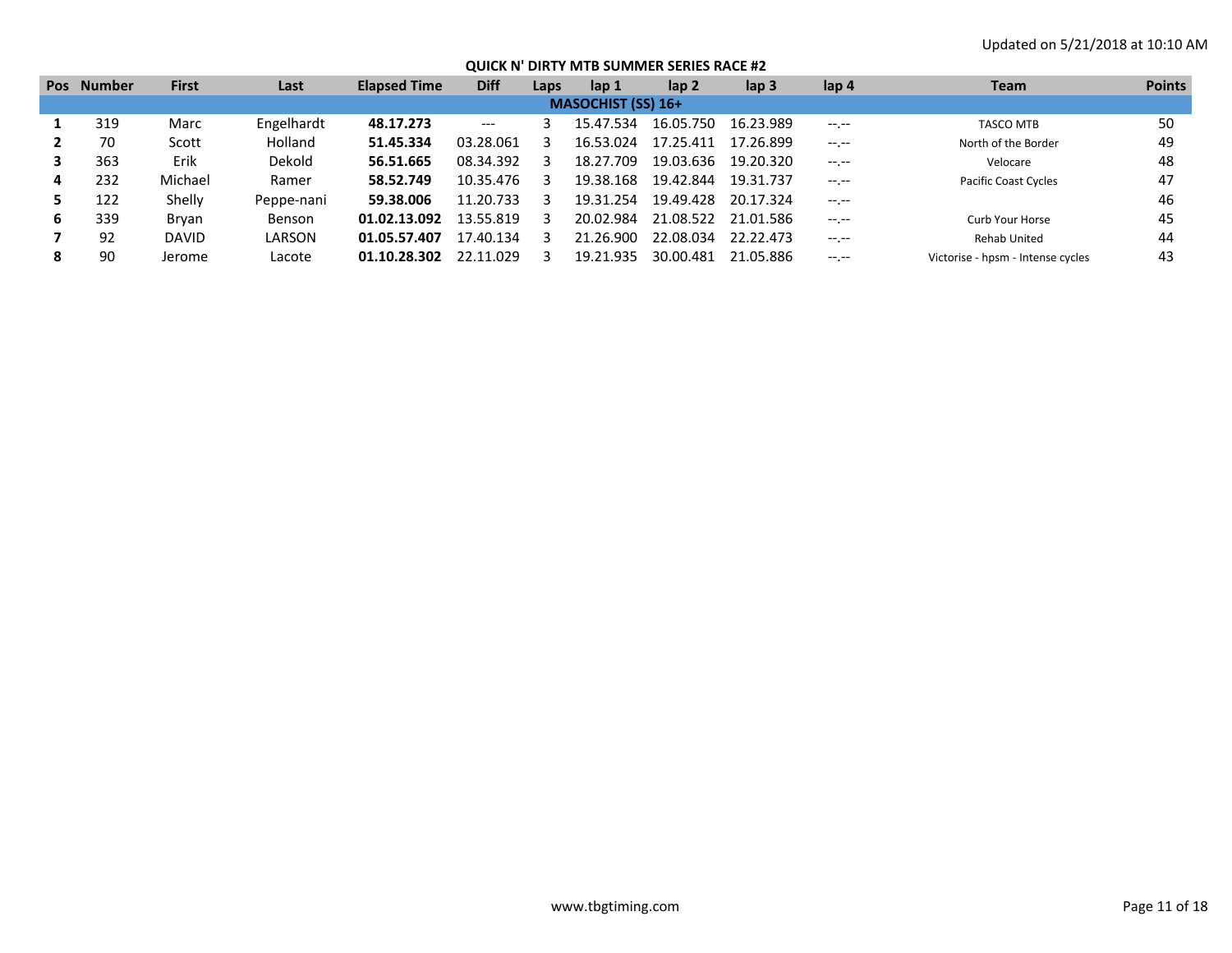| <b>Pos</b> | <b>Number</b> | <b>First</b> | Last           | <b>Elapsed Time</b> | <b>Diff</b> | Laps | lap 1                     | lap 2     | lap <sub>3</sub> | lap 4            | <b>Team</b>                       | <b>Points</b> |
|------------|---------------|--------------|----------------|---------------------|-------------|------|---------------------------|-----------|------------------|------------------|-----------------------------------|---------------|
|            |               |              |                |                     |             |      | <b>MASOCHIST (SS) 16+</b> |           |                  |                  |                                   |               |
|            | 319           | Marc         | Engelhardt     | 48.17.273           | $---$       |      | 15.47.534                 | 16.05.750 | 16.23.989        | $-1. - -$        | <b>TASCO MTB</b>                  | 50            |
|            | 70            | Scott        | <b>Holland</b> | 51.45.334           | 03.28.061   |      | 16.53.024                 | 17.25.411 | 17.26.899        | $-1$ .           | North of the Border               | 49            |
|            | 363           | Erik         | Dekold         | 56.51.665           | 08.34.392   |      | 18.27.709                 | 19.03.636 | 19.20.320        | $-1 - 1 - 1 = 0$ | Velocare                          | 48            |
| 4          | 232           | Michael      | Ramer          | 58.52.749           | 10.35.476   |      | 19.38.168                 | 19.42.844 | 19.31.737        | $-1 - 1 - 1 = 0$ | <b>Pacific Coast Cycles</b>       | 47            |
|            | 122           | Shelly       | Peppe-nani     | 59.38.006           | 11.20.733   |      | 19.31.254                 | 19.49.428 | 20.17.324        | $-1 - 1 - 1 = 0$ |                                   | 46            |
| 6          | 339           | Bryan        | <b>Benson</b>  | 01.02.13.092        | 13.55.819   |      | 20.02.984                 | 21.08.522 | 21.01.586        | $-1 - 1 - 1 = 0$ | Curb Your Horse                   | 45            |
|            | 92            | <b>DAVID</b> | LARSON         | 01.05.57.407        | 17.40.134   |      | 21.26.900                 | 22.08.034 | 22.22.473        | $-1 - 1 - 1 = 0$ | Rehab United                      | 44            |
| 8          | 90            | Jerome       | Lacote         | 01.10.28.302        | 22.11.029   |      | 19.21.935                 | 30.00.481 | 21.05.886        | $-1$ .           | Victorise - hpsm - Intense cycles | 43            |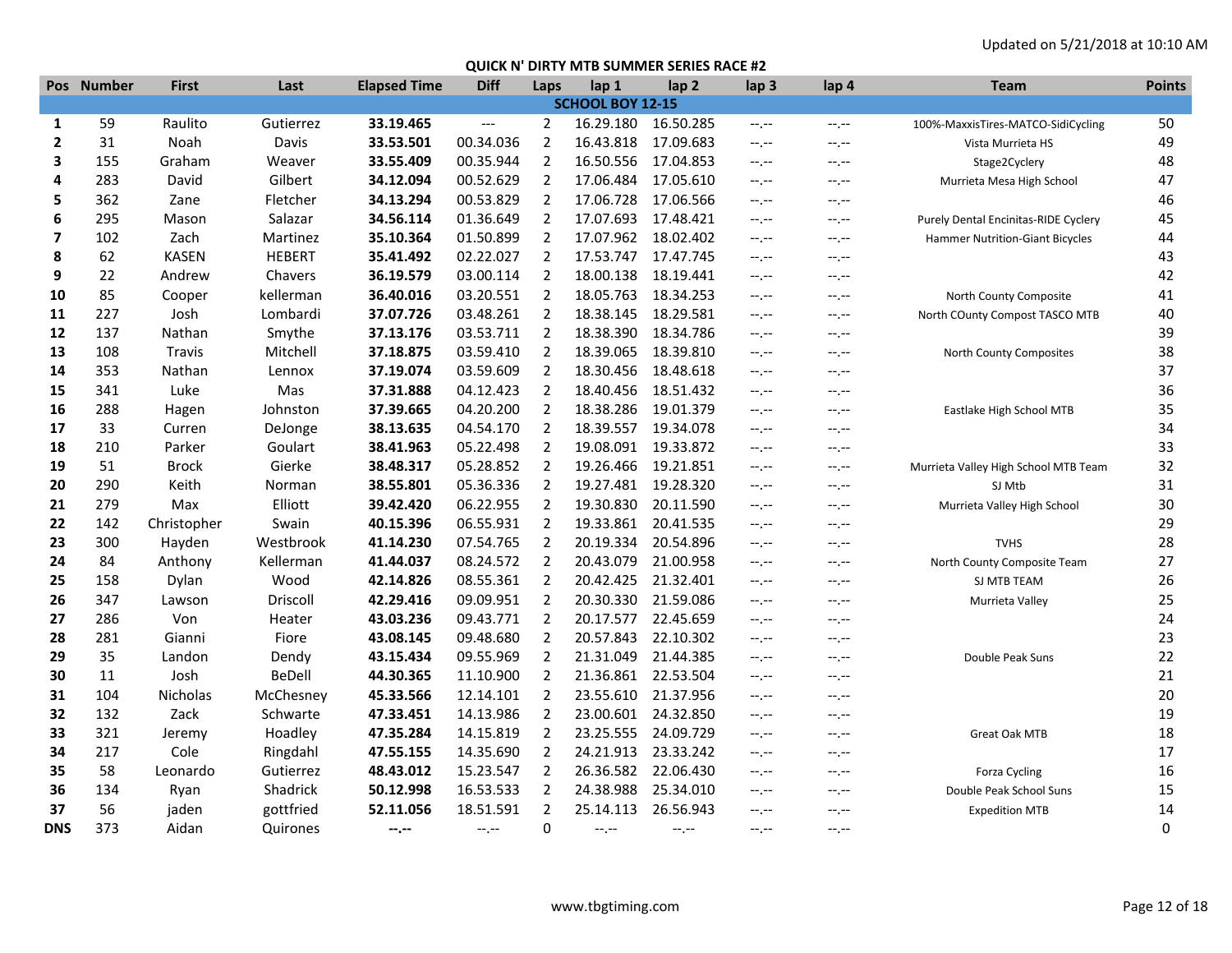|                | Pos Number | <b>First</b> | Last          | <b>Elapsed Time</b> | <b>Diff</b> | Laps           | lap 1            | lap <sub>2</sub>    | lap <sub>3</sub> | lap 4            | <b>Team</b>                          | <b>Points</b> |
|----------------|------------|--------------|---------------|---------------------|-------------|----------------|------------------|---------------------|------------------|------------------|--------------------------------------|---------------|
|                |            |              |               |                     |             |                | SCHOOL BOY 12-15 |                     |                  |                  |                                      |               |
| 1              | 59         | Raulito      | Gutierrez     | 33.19.465           | $---$       | 2              | 16.29.180        | 16.50.285           | $-1. -1$         | $-1, -1$         | 100%-MaxxisTires-MATCO-SidiCycling   | 50            |
| $\overline{2}$ | 31         | Noah         | Davis         | 33.53.501           | 00.34.036   | 2              | 16.43.818        | 17.09.683           | $-1 - 1 - 1 = 0$ | $-1, -1$         | Vista Murrieta HS                    | 49            |
| 3              | 155        | Graham       | Weaver        | 33.55.409           | 00.35.944   | 2              | 16.50.556        | 17.04.853           | $-1, -1$         | $-1, -1$         | Stage2Cyclery                        | 48            |
| 4              | 283        | David        | Gilbert       | 34.12.094           | 00.52.629   | 2              | 17.06.484        | 17.05.610           | $-1$ , $-1$      | --.--            | Murrieta Mesa High School            | 47            |
| 5              | 362        | Zane         | Fletcher      | 34.13.294           | 00.53.829   | $\overline{2}$ | 17.06.728        | 17.06.566           | $-1$ , $-1$      | --.--            |                                      | 46            |
| 6              | 295        | Mason        | Salazar       | 34.56.114           | 01.36.649   | 2              | 17.07.693        | 17.48.421           | $-1, -1$         | $-1 - 1 - 1 = 0$ | Purely Dental Encinitas-RIDE Cyclery | 45            |
| 7              | 102        | Zach         | Martinez      | 35.10.364           | 01.50.899   | 2              | 17.07.962        | 18.02.402           | $-1 - 1 - 1 = 0$ | --.--            | Hammer Nutrition-Giant Bicycles      | 44            |
| 8              | 62         | <b>KASEN</b> | <b>HEBERT</b> | 35.41.492           | 02.22.027   | 2              | 17.53.747        | 17.47.745           | $-1$ , $-1$      | $-1, -1$         |                                      | 43            |
| 9              | 22         | Andrew       | Chavers       | 36.19.579           | 03.00.114   | 2              | 18.00.138        | 18.19.441           | $-1. -1$         | $-1 - 1 - 1 = 0$ |                                      | 42            |
| 10             | 85         | Cooper       | kellerman     | 36.40.016           | 03.20.551   | $\overline{2}$ | 18.05.763        | 18.34.253           | $-1, -1$         | $-1$ . $-1$      | North County Composite               | 41            |
| 11             | 227        | Josh         | Lombardi      | 37.07.726           | 03.48.261   | $\overline{2}$ | 18.38.145        | 18.29.581           | $-1 - 1 - 1 = 0$ | $-1, -1$         | North COunty Compost TASCO MTB       | 40            |
| 12             | 137        | Nathan       | Smythe        | 37.13.176           | 03.53.711   | 2              | 18.38.390        | 18.34.786           | $-1 - 1 - 1 = 0$ | $-1 - 1 - 1 = 0$ |                                      | 39            |
| 13             | 108        | Travis       | Mitchell      | 37.18.875           | 03.59.410   | 2              | 18.39.065        | 18.39.810           | $-1 - 1 - 1 = 0$ | $-1 - 1 - 1 = 0$ | North County Composites              | 38            |
| 14             | 353        | Nathan       | Lennox        | 37.19.074           | 03.59.609   | 2              | 18.30.456        | 18.48.618           | $-1$ , $-1$      | --.--            |                                      | 37            |
| 15             | 341        | Luke         | Mas           | 37.31.888           | 04.12.423   | $\overline{2}$ | 18.40.456        | 18.51.432           | $-1 - 1 - 1 = 0$ | --.--            |                                      | 36            |
| 16             | 288        | Hagen        | Johnston      | 37.39.665           | 04.20.200   | $\overline{2}$ | 18.38.286        | 19.01.379           | $-1, -1$         | $-1. - -$        | Eastlake High School MTB             | 35            |
| 17             | 33         | Curren       | DeJonge       | 38.13.635           | 04.54.170   | 2              | 18.39.557        | 19.34.078           | $-1 - 1 - 1 = 0$ | $-1, -1$         |                                      | 34            |
| 18             | 210        | Parker       | Goulart       | 38.41.963           | 05.22.498   | 2              | 19.08.091        | 19.33.872           | $-1 - 1 - 1 = 0$ | $-1 - 1 - 1 = 0$ |                                      | 33            |
| 19             | 51         | Brock        | Gierke        | 38.48.317           | 05.28.852   | $\overline{2}$ | 19.26.466        | 19.21.851           | $-1 - 1 - 1 = 0$ | $-1, -1$         | Murrieta Valley High School MTB Team | 32            |
| 20             | 290        | Keith        | Norman        | 38.55.801           | 05.36.336   | 2              |                  | 19.27.481 19.28.320 | $-1 - 1 - 1 = 0$ | $-1 - 1 - 1 = 0$ | SJ Mtb                               | 31            |
| 21             | 279        | Max          | Elliott       | 39.42.420           | 06.22.955   | 2              | 19.30.830        | 20.11.590           | $-1 - 1 - 1 = 0$ | --.--            | Murrieta Valley High School          | 30            |
| 22             | 142        | Christopher  | Swain         | 40.15.396           | 06.55.931   | 2              | 19.33.861        | 20.41.535           | $-1, -1$         | $-1, -1$         |                                      | 29            |
| 23             | 300        | Hayden       | Westbrook     | 41.14.230           | 07.54.765   | 2              | 20.19.334        | 20.54.896           | $-1$ , $-1$      | $-1, -1$         | <b>TVHS</b>                          | 28            |
| 24             | 84         | Anthony      | Kellerman     | 41.44.037           | 08.24.572   | 2              | 20.43.079        | 21.00.958           | $-1, -1$         | $-1 - 1 - 1 = 0$ | North County Composite Team          | 27            |
| 25             | 158        | Dylan        | Wood          | 42.14.826           | 08.55.361   | $\overline{2}$ | 20.42.425        | 21.32.401           | $-1 - 1 - 1 = 0$ | $-1 - 1 - 1 = 0$ | SJ MTB TEAM                          | 26            |
| 26             | 347        | Lawson       | Driscoll      | 42.29.416           | 09.09.951   | 2              | 20.30.330        | 21.59.086           | $-1, -1$         | --.--            | Murrieta Valley                      | 25            |
| 27             | 286        | Von          | Heater        | 43.03.236           | 09.43.771   | 2              | 20.17.577        | 22.45.659           | $-1$ , $-1$      | --.--            |                                      | 24            |
| 28             | 281        | Gianni       | Fiore         | 43.08.145           | 09.48.680   | 2              | 20.57.843        | 22.10.302           | $-1 - 1 - 1 = 0$ | --.--            |                                      | 23            |
| 29             | 35         | Landon       | Dendy         | 43.15.434           | 09.55.969   | 2              | 21.31.049        | 21.44.385           | $-1 - 1 - 1 = 0$ | --.--            | Double Peak Suns                     | 22            |
| 30             | 11         | Josh         | BeDell        | 44.30.365           | 11.10.900   | $\overline{2}$ | 21.36.861        | 22.53.504           | $-1, -1$         | $-1$ . $-1$      |                                      | 21            |
| 31             | 104        | Nicholas     | McChesney     | 45.33.566           | 12.14.101   | $\overline{2}$ | 23.55.610        | 21.37.956           | $-1 - 1 - 1 = 0$ | $-1 - 1 - 1 = 0$ |                                      | 20            |
| 32             | 132        | Zack         | Schwarte      | 47.33.451           | 14.13.986   | 2              | 23.00.601        | 24.32.850           | $-1 - 1 - 1 = 0$ | $-1 - 1 - 1 = 0$ |                                      | 19            |
| 33             | 321        | Jeremy       | Hoadley       | 47.35.284           | 14.15.819   | 2              | 23.25.555        | 24.09.729           | $-1 - 1 - 1 = 0$ | $-1 - 1 - 1 = 0$ | Great Oak MTB                        | 18            |
| 34             | 217        | Cole         | Ringdahl      | 47.55.155           | 14.35.690   | 2              | 24.21.913        | 23.33.242           | $-1 - 1 - 1 = 0$ | --.--            |                                      | 17            |
| 35             | 58         | Leonardo     | Gutierrez     | 48.43.012           | 15.23.547   | $\overline{2}$ | 26.36.582        | 22.06.430           | $-1 - 1 - 1 = 0$ | $-1. -1$         | <b>Forza Cycling</b>                 | 16            |
| 36             | 134        | Ryan         | Shadrick      | 50.12.998           | 16.53.533   | 2              | 24.38.988        | 25.34.010           | $-1, -1$         | --.--            | Double Peak School Suns              | 15            |
| 37             | 56         | jaden        | gottfried     | 52.11.056           | 18.51.591   | $\overline{2}$ | 25.14.113        | 26.56.943           | --.--            | --.--            | <b>Expedition MTB</b>                | 14            |
| <b>DNS</b>     | 373        | Aidan        | Quirones      | --.--               | $-1, -1$    | 0              | $-1 - 1 - 1 = 0$ | $-1$ .              | $-1$ , $-1$      | $--,--$          |                                      | $\Omega$      |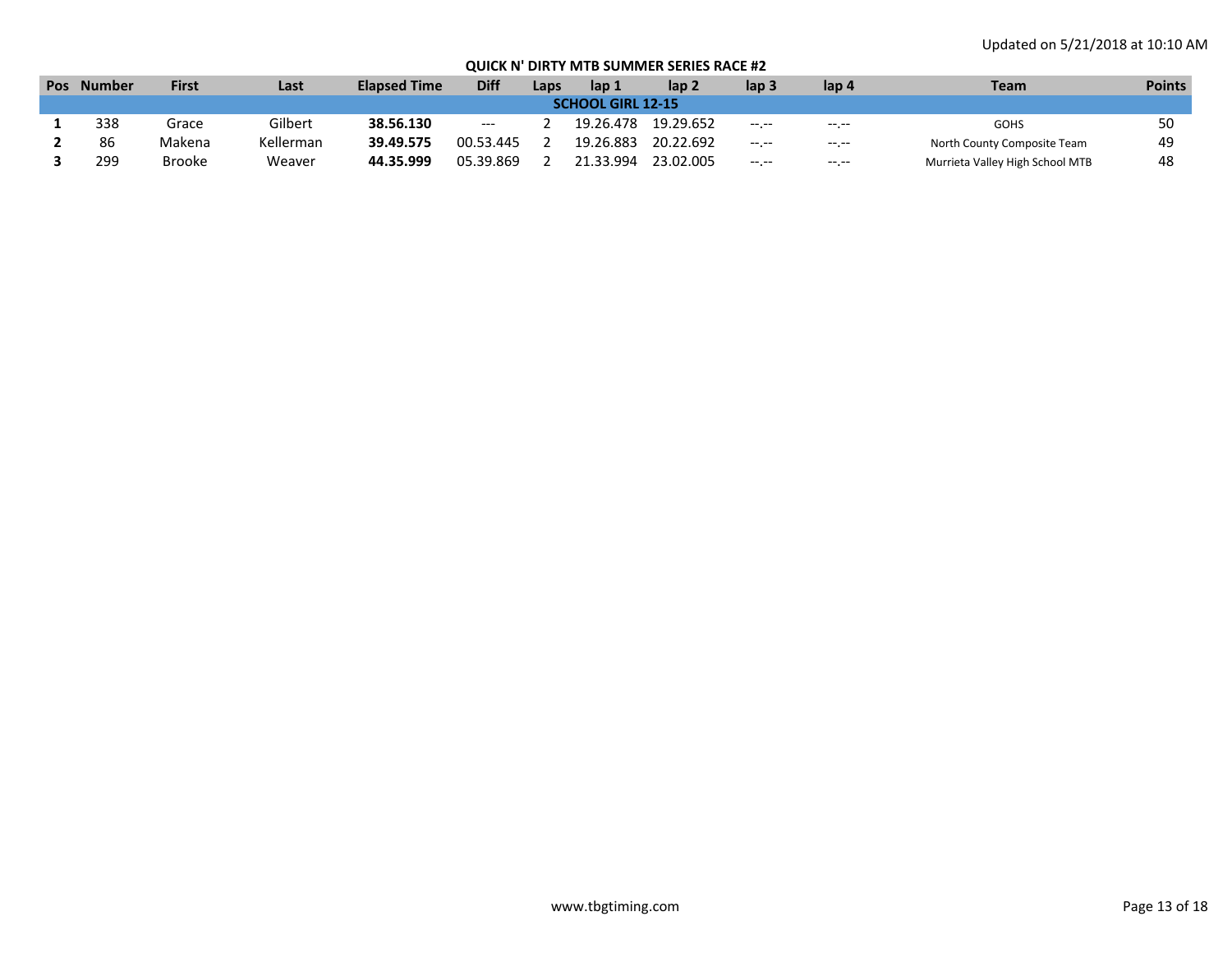| <b>Pos</b>               | <b>Number</b> | First  | Last      | <b>Elapsed Time</b> | <b>Diff</b>              | Laps | Nap ⊾     | lap 2     | lap 3            | lap 4        | Team                            | <b>Points</b> |
|--------------------------|---------------|--------|-----------|---------------------|--------------------------|------|-----------|-----------|------------------|--------------|---------------------------------|---------------|
| <b>SCHOOL GIRL 12-15</b> |               |        |           |                     |                          |      |           |           |                  |              |                                 |               |
|                          | 338           | Grace  | Gilbert   | 38.56.130           | $\hspace{0.05cm} \ldots$ |      | 19.26.478 | 19.29.652 | $-1 - 1 - 1 = 0$ |              | <b>GOHS</b>                     |               |
|                          | 86            | Makena | Kellerman | 39.49.575           | 00.53.445                |      | 19.26.883 | 20.22.692 | $-1 - 1 - 1$     | $-1.1 - 1.0$ | North County Composite Team     | 49            |
|                          | 299           | Brooke | Weaver    | 44.35.999           | 05.39.869                |      | 21.33.994 | 23.02.005 | $- - - - -$      | $- - - - -$  | Murrieta Valley High School MTB | 48            |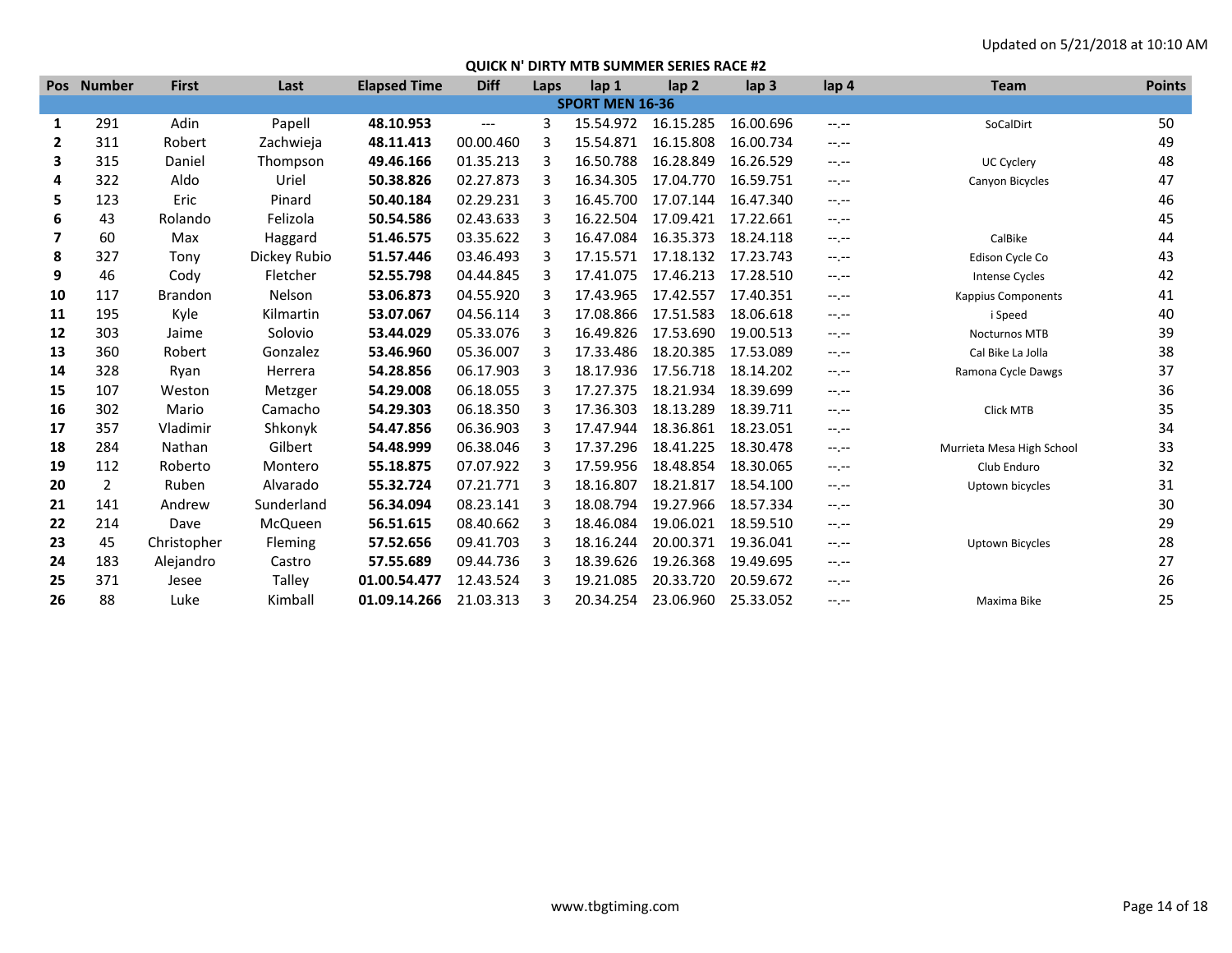|              | Pos Number | <b>First</b>   | Last         | <b>Elapsed Time</b> | <b>Diff</b> | Laps | lap 1                  | lap <sub>2</sub> | lap <sub>3</sub> | lap 4            | <b>Team</b>               | <b>Points</b> |
|--------------|------------|----------------|--------------|---------------------|-------------|------|------------------------|------------------|------------------|------------------|---------------------------|---------------|
|              |            |                |              |                     |             |      | <b>SPORT MEN 16-36</b> |                  |                  |                  |                           |               |
| 1            | 291        | Adin           | Papell       | 48.10.953           | ---         | 3    | 15.54.972              | 16.15.285        | 16.00.696        | $-1 - 1 - 1 = 0$ | SoCalDirt                 | 50            |
| $\mathbf{2}$ | 311        | Robert         | Zachwieja    | 48.11.413           | 00.00.460   | 3    | 15.54.871              | 16.15.808        | 16.00.734        | $-1$             |                           | 49            |
| 3            | 315        | Daniel         | Thompson     | 49.46.166           | 01.35.213   |      | 16.50.788              | 16.28.849        | 16.26.529        | $-1$             | UC Cyclery                | 48            |
| 4            | 322        | Aldo           | Uriel        | 50.38.826           | 02.27.873   |      | 16.34.305              | 17.04.770        | 16.59.751        | $-1. - -$        | Canyon Bicycles           | 47            |
| 5            | 123        | Eric           | Pinard       | 50.40.184           | 02.29.231   | 3    | 16.45.700              | 17.07.144        | 16.47.340        | $-1$             |                           | 46            |
| 6            | 43         | Rolando        | Felizola     | 50.54.586           | 02.43.633   |      | 16.22.504              | 17.09.421        | 17.22.661        | $-1$             |                           | 45            |
| 7            | 60         | Max            | Haggard      | 51.46.575           | 03.35.622   |      | 16.47.084              | 16.35.373        | 18.24.118        | $-1$             | CalBike                   | 44            |
| 8            | 327        | Tony           | Dickey Rubio | 51.57.446           | 03.46.493   | 3    | 17.15.571              | 17.18.132        | 17.23.743        | $-1$             | Edison Cycle Co           | 43            |
| 9            | 46         | Cody           | Fletcher     | 52.55.798           | 04.44.845   |      | 17.41.075              | 17.46.213        | 17.28.510        | $-1. - -$        | <b>Intense Cycles</b>     | 42            |
| 10           | 117        | <b>Brandon</b> | Nelson       | 53.06.873           | 04.55.920   |      | 17.43.965              | 17.42.557        | 17.40.351        | $-1. - -$        | <b>Kappius Components</b> | 41            |
| 11           | 195        | Kyle           | Kilmartin    | 53.07.067           | 04.56.114   | 3    | 17.08.866              | 17.51.583        | 18.06.618        | $-1$             | i Speed                   | 40            |
| 12           | 303        | Jaime          | Solovio      | 53.44.029           | 05.33.076   |      | 16.49.826              | 17.53.690        | 19.00.513        | $-1$ , $-1$      | <b>Nocturnos MTB</b>      | 39            |
| 13           | 360        | Robert         | Gonzalez     | 53.46.960           | 05.36.007   |      | 17.33.486              | 18.20.385        | 17.53.089        | $-1$ , $-1$      | Cal Bike La Jolla         | 38            |
| 14           | 328        | Ryan           | Herrera      | 54.28.856           | 06.17.903   | 3    | 18.17.936              | 17.56.718        | 18.14.202        | $-1$             | Ramona Cycle Dawgs        | 37            |
| 15           | 107        | Weston         | Metzger      | 54.29.008           | 06.18.055   | з    | 17.27.375              | 18.21.934        | 18.39.699        | $-1$             |                           | 36            |
| 16           | 302        | Mario          | Camacho      | 54.29.303           | 06.18.350   |      | 17.36.303              | 18.13.289        | 18.39.711        | $-1 - 1 - 1 = 0$ | <b>Click MTB</b>          | 35            |
| 17           | 357        | Vladimir       | Shkonyk      | 54.47.856           | 06.36.903   | 3    | 17.47.944              | 18.36.861        | 18.23.051        | $-1$             |                           | 34            |
| 18           | 284        | Nathan         | Gilbert      | 54.48.999           | 06.38.046   |      | 17.37.296              | 18.41.225        | 18.30.478        | $-1, -1$         | Murrieta Mesa High School | 33            |
| 19           | 112        | Roberto        | Montero      | 55.18.875           | 07.07.922   |      | 17.59.956              | 18.48.854        | 18.30.065        | $-1.1 -$         | Club Enduro               | 32            |
| 20           | 2          | Ruben          | Alvarado     | 55.32.724           | 07.21.771   |      | 18.16.807              | 18.21.817        | 18.54.100        | $-1$             | Uptown bicycles           | 31            |
| 21           | 141        | Andrew         | Sunderland   | 56.34.094           | 08.23.141   |      | 18.08.794              | 19.27.966        | 18.57.334        | $-1$             |                           | 30            |
| 22           | 214        | Dave           | McQueen      | 56.51.615           | 08.40.662   |      | 18.46.084              | 19.06.021        | 18.59.510        | $-1$ , $-1$      |                           | 29            |
| 23           | 45         | Christopher    | Fleming      | 57.52.656           | 09.41.703   |      | 18.16.244              | 20.00.371        | 19.36.041        | $-1 - 1 - 1 = 0$ | <b>Uptown Bicycles</b>    | 28            |
| 24           | 183        | Alejandro      | Castro       | 57.55.689           | 09.44.736   |      | 18.39.626              | 19.26.368        | 19.49.695        | $-1. - -$        |                           | 27            |
| 25           | 371        | Jesee          | Talley       | 01.00.54.477        | 12.43.524   |      | 19.21.085              | 20.33.720        | 20.59.672        | $-1. - -$        |                           | 26            |
| 26           | 88         | Luke           | Kimball      | 01.09.14.266        | 21.03.313   |      | 20.34.254              | 23.06.960        | 25.33.052        | $-1$ , $-1$      | Maxima Bike               | 25            |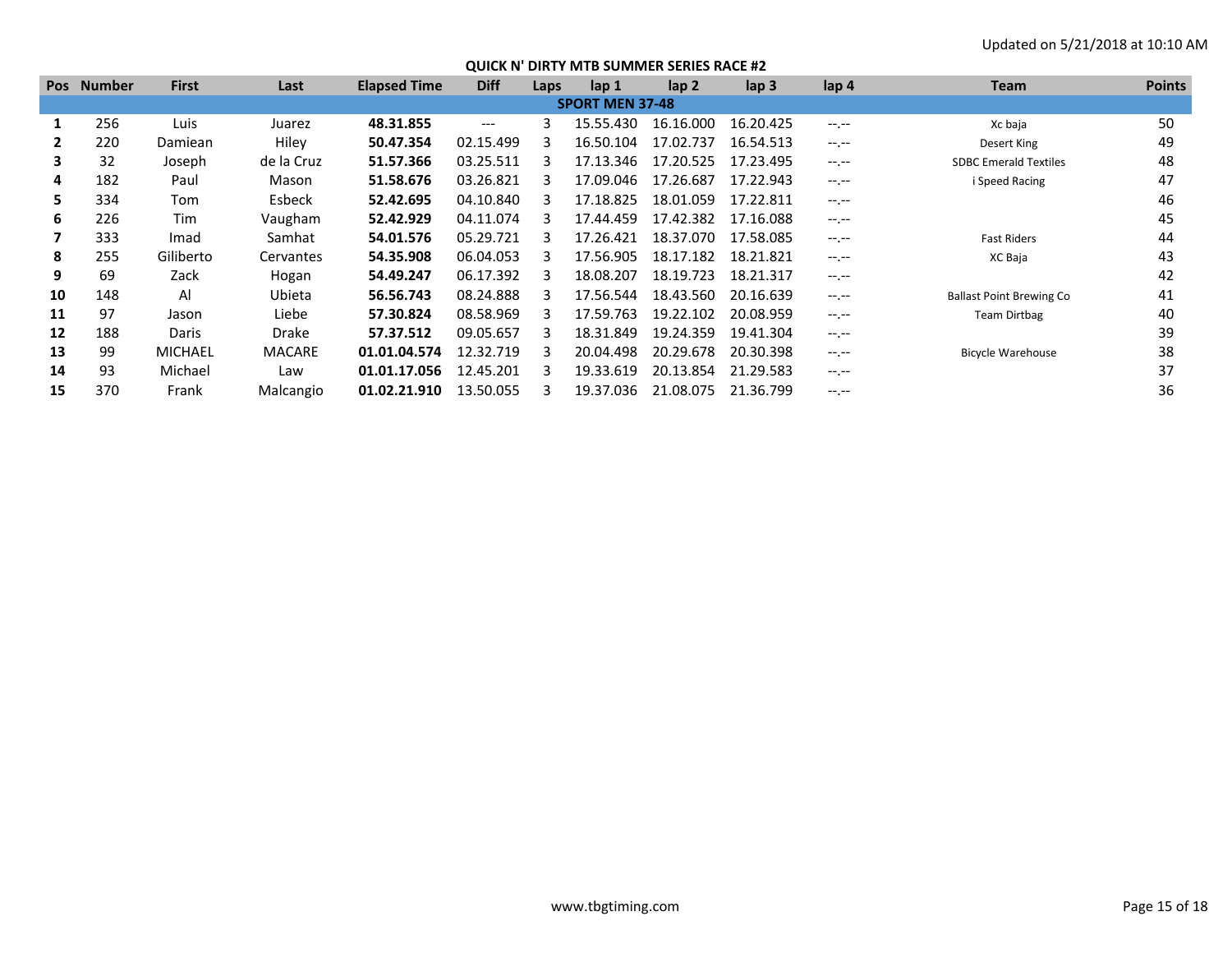| <b>Pos</b> | <b>Number</b> | <b>First</b>   | Last          | <b>Elapsed Time</b> | <b>Diff</b> | Laps | lap <sub>1</sub>       | lap <sub>2</sub> | $\mathsf{lap} 3$ | lap 4       | <b>Team</b>                     | <b>Points</b> |
|------------|---------------|----------------|---------------|---------------------|-------------|------|------------------------|------------------|------------------|-------------|---------------------------------|---------------|
|            |               |                |               |                     |             |      | <b>SPORT MEN 37-48</b> |                  |                  |             |                                 |               |
|            | 256           | Luis           | Juarez        | 48.31.855           | $---$       |      | 15.55.430              | 16.16.000        | 16.20.425        | $-1$ , $-1$ | Xc baja                         | 50            |
| 2          | 220           | Damiean        | Hiley         | 50.47.354           | 02.15.499   |      | 16.50.104              | 17.02.737        | 16.54.513        | $-1$ , $-1$ | Desert King                     | 49            |
| 3          | 32            | Joseph         | de la Cruz    | 51.57.366           | 03.25.511   |      | 17.13.346              | 17.20.525        | 17.23.495        | $-1.1$      | <b>SDBC Emerald Textiles</b>    | 48            |
| 4          | 182           | Paul           | Mason         | 51.58.676           | 03.26.821   |      | 17.09.046              | 17.26.687        | 17.22.943        | $-1$ , $-1$ | i Speed Racing                  | 47            |
| 5.         | 334           | Tom            | Esbeck        | 52.42.695           | 04.10.840   |      | 17.18.825              | 18.01.059        | 17.22.811        | $-1$ , $-1$ |                                 | 46            |
| 6          | 226           | Tim            | Vaugham       | 52.42.929           | 04.11.074   |      | 17.44.459              | 17.42.382        | 17.16.088        | $-1$ , $-1$ |                                 | 45            |
|            | 333           | Imad           | Samhat        | 54.01.576           | 05.29.721   |      | 17.26.421              | 18.37.070        | 17.58.085        | $-1$ , $-1$ | <b>Fast Riders</b>              | 44            |
| 8          | 255           | Giliberto      | Cervantes     | 54.35.908           | 06.04.053   |      | 17.56.905              | 18.17.182        | 18.21.821        | $-1$ , $-1$ | XC Baja                         | 43            |
| 9          | 69            | Zack           | Hogan         | 54.49.247           | 06.17.392   |      | 18.08.207              | 18.19.723        | 18.21.317        | $-1.1$      |                                 | 42            |
| 10         | 148           | Al             | Ubieta        | 56.56.743           | 08.24.888   |      | 17.56.544              | 18.43.560        | 20.16.639        | $-1$ , $-1$ | <b>Ballast Point Brewing Co</b> | 41            |
| 11         | 97            | Jason          | Liebe         | 57.30.824           | 08.58.969   |      | 17.59.763              | 19.22.102        | 20.08.959        | $-1$ , $-1$ | Team Dirtbag                    | 40            |
| 12         | 188           | Daris          | Drake         | 57.37.512           | 09.05.657   |      | 18.31.849              | 19.24.359        | 19.41.304        | $-1$ , $-1$ |                                 | 39            |
| 13         | 99            | <b>MICHAEL</b> | <b>MACARE</b> | 01.01.04.574        | 12.32.719   |      | 20.04.498              | 20.29.678        | 20.30.398        | $-1.1 -$    | <b>Bicycle Warehouse</b>        | 38            |
| 14         | 93            | Michael        | Law           | 01.01.17.056        | 12.45.201   |      | 19.33.619              | 20.13.854        | 21.29.583        | $-1$ , $-1$ |                                 | 37            |
| 15         | 370           | Frank          | Malcangio     | 01.02.21.910        | 13.50.055   |      | 19.37.036              | 21.08.075        | 21.36.799        |             |                                 | 36            |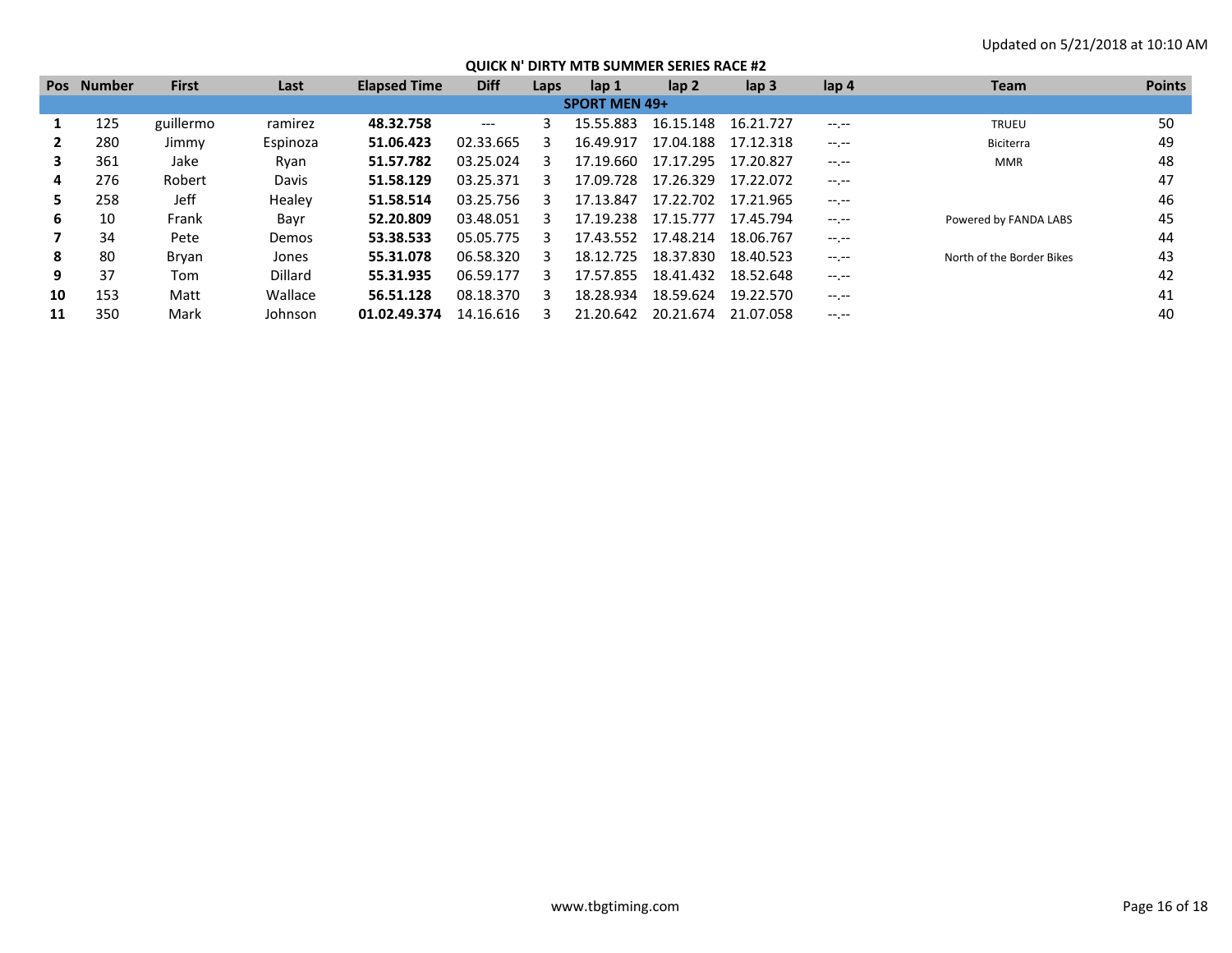| <b>Pos</b> | Number               | <b>First</b> | Last     | <b>Elapsed Time</b> | <b>Diff</b> | Laps | lap <sub>1</sub> | lap 2     | lap <sub>3</sub> | lap 4       | <b>Team</b>               | <b>Points</b> |
|------------|----------------------|--------------|----------|---------------------|-------------|------|------------------|-----------|------------------|-------------|---------------------------|---------------|
|            | <b>SPORT MEN 49+</b> |              |          |                     |             |      |                  |           |                  |             |                           |               |
|            | 125                  | guillermo    | ramirez  | 48.32.758           | $---$       |      | 15.55.883        | 16.15.148 | 16.21.727        | $-1$ , $-1$ | <b>TRUEU</b>              | 50            |
|            | 280                  | Jimmy        | Espinoza | 51.06.423           | 02.33.665   |      | 16.49.917        | 17.04.188 | 17.12.318        | $-1$ , $-1$ | Biciterra                 | 49            |
| 3          | 361                  | Jake         | Ryan     | 51.57.782           | 03.25.024   |      | 17.19.660        | 17.17.295 | 17.20.827        | $-1.1$      | <b>MMR</b>                | 48            |
| 4          | 276                  | Robert       | Davis    | 51.58.129           | 03.25.371   |      | 17.09.728        | 17.26.329 | 17.22.072        | $-1.1$      |                           | 47            |
| 5.         | 258                  | Jeff         | Healev   | 51.58.514           | 03.25.756   |      | 17.13.847        | 17.22.702 | 17.21.965        | $-1$ , $-1$ |                           | 46            |
| 6          | 10                   | Frank        | Bayr     | 52.20.809           | 03.48.051   |      | 17.19.238        | 17.15.777 | 17.45.794        | $-1$ , $-1$ | Powered by FANDA LABS     | 45            |
|            | 34                   | Pete         | Demos    | 53.38.533           | 05.05.775   |      | 17.43.552        | 17.48.214 | 18.06.767        | $-1$ , $-1$ |                           | 44            |
| 8          | 80                   | Bryan        | Jones    | 55.31.078           | 06.58.320   |      | 18.12.725        | 18.37.830 | 18.40.523        | $-1$ , $-1$ | North of the Border Bikes | 43            |
| 9          | 37                   | Tom          | Dillard  | 55.31.935           | 06.59.177   |      | 17.57.855        | 18.41.432 | 18.52.648        | $-1$ , $-1$ |                           | 42            |
| 10         | 153                  | Matt         | Wallace  | 56.51.128           | 08.18.370   |      | 18.28.934        | 18.59.624 | 19.22.570        | $-1$ , $-1$ |                           | 41            |
| 11         | 350                  | Mark         | Johnson  | 01.02.49.374        | 14.16.616   |      | 21.20.642        | 20.21.674 | 21.07.058        | $-1. - -$   |                           | 40            |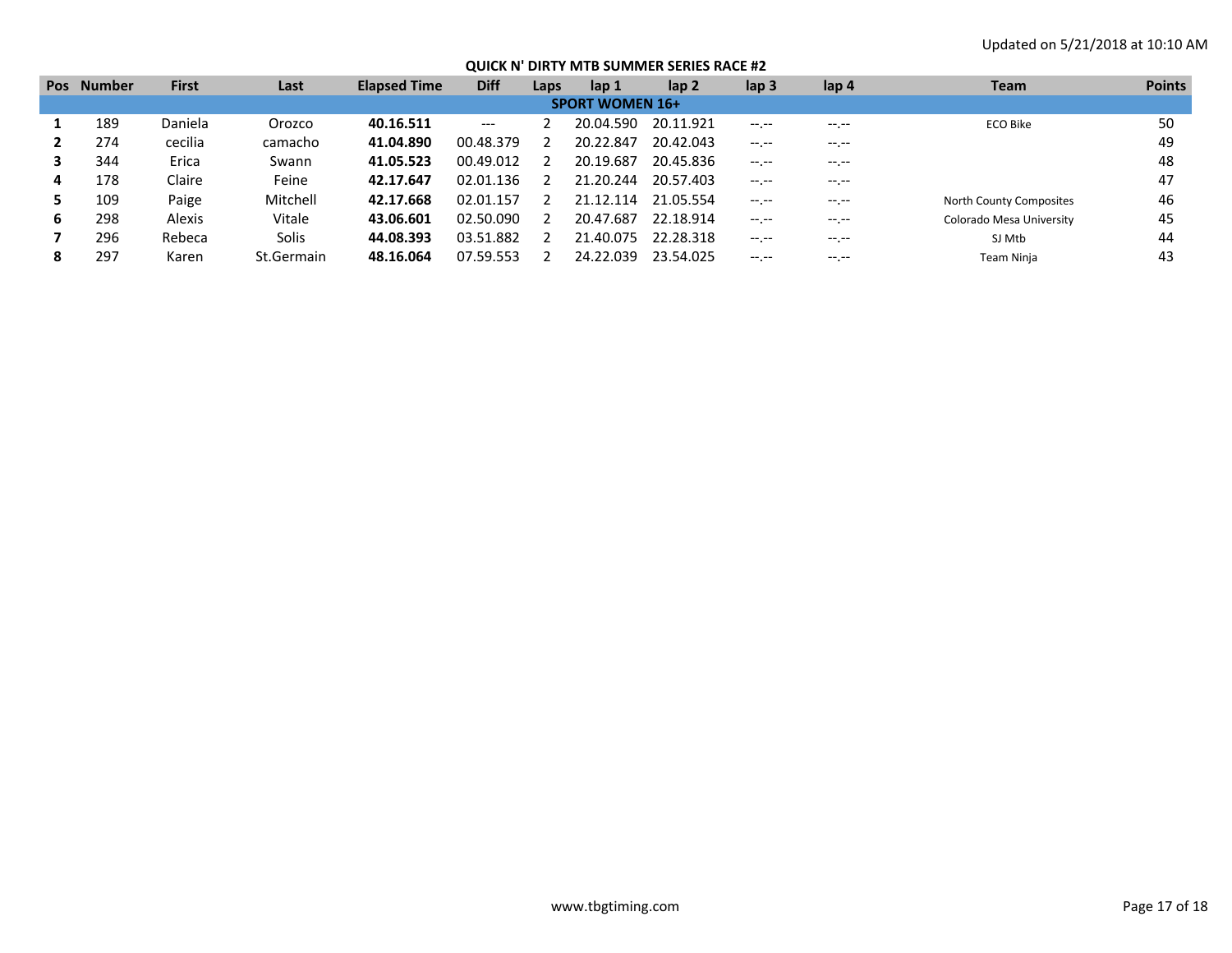| <b>Pos</b>             | <b>Number</b> | <b>First</b> | Last         | <b>Elapsed Time</b> | <b>Diff</b>    | Laps | lap 1     | lap 2     | lap <sub>3</sub> | lap 4       | <b>Team</b>              | <b>Points</b> |
|------------------------|---------------|--------------|--------------|---------------------|----------------|------|-----------|-----------|------------------|-------------|--------------------------|---------------|
| <b>SPORT WOMEN 16+</b> |               |              |              |                     |                |      |           |           |                  |             |                          |               |
|                        | 189           | Daniela      | Orozco       | 40.16.511           | ---            |      | 20.04.590 | 20.11.921 | $- - - - -$      | $---$       | <b>ECO Bike</b>          | 50            |
|                        | 274           | cecilia      | camacho      | 41.04.890           | 00.48.379      |      | 20.22.847 | 20.42.043 |                  |             |                          | 49            |
|                        | 344           | Erica        | Swann        | 41.05.523           | 00.49.012      |      | 20.19.687 | 20.45.836 | $-1 - 1 - 1 = 0$ | $--, --$    |                          | 48            |
| 4                      | 178           | Claire       | Feine        | 42.17.647           | 02.01.136      |      | 21.20.244 | 20.57.403 | $-1 - 1 - 1 = 0$ | $-1$ . $-1$ |                          | 47            |
|                        | 109           | Paige        | Mitchell     | 42.17.668           | .157<br>02.01  |      | 21.12.114 | 21.05.554 | $-1. -1$         | $---$       | North County Composites  | 46            |
| 6                      | 298           | Alexis       | Vitale       | 43.06.601           | 02.50.090      |      | 20.47.687 | 22.18.914 | . <u>.</u>       | $-1$ . $-1$ | Colorado Mesa University | 45            |
|                        | 296           | Rebeca       | <b>Solis</b> | 44.08.393           | L.882<br>03.51 |      | 21.40.075 | 22.28.318 | $-1 - 1 - 1 = 0$ | $--, --$    | SJ Mtb                   | 44            |
| 8                      | 297           | Karen        | St.Germain   | 48.16.064           | 07.59.553      |      | 24.22.039 | 23.54.025 | $-1 - 1 - 1 = 0$ | $--, --$    | Team Ninia               | 43            |